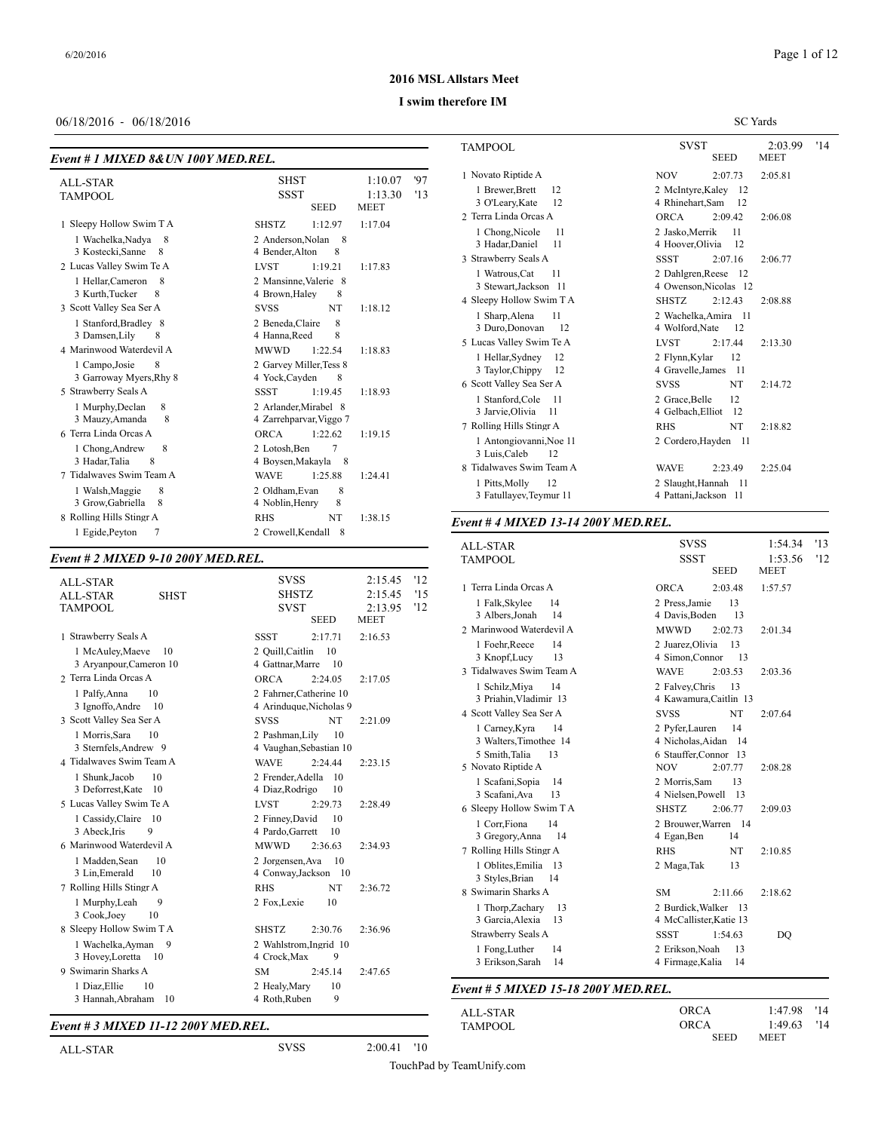SC Yards

#### **2016 MSL Allstars Meet**

#### **I swim therefore IM**

#### 06/18/2016 - 06/18/2016

| Event # 1 MIXED 8& UN 100Y MED.REL. |  |
|-------------------------------------|--|
|-------------------------------------|--|

| 97<br><b>SHST</b><br>1:10.07<br><b>ALL-STAR</b><br><b>SSST</b><br>13<br>1:13.30<br><b>TAMPOOL</b><br><b>SEED</b><br><b>MEET</b>                                                                                                                                                                                                                                                                                                                                                                                                                                                                                                                                                                                                                                                                                                                                                                                                                                                                                                                                                                                                  |
|----------------------------------------------------------------------------------------------------------------------------------------------------------------------------------------------------------------------------------------------------------------------------------------------------------------------------------------------------------------------------------------------------------------------------------------------------------------------------------------------------------------------------------------------------------------------------------------------------------------------------------------------------------------------------------------------------------------------------------------------------------------------------------------------------------------------------------------------------------------------------------------------------------------------------------------------------------------------------------------------------------------------------------------------------------------------------------------------------------------------------------|
| 1 Sleepy Hollow Swim T A<br>1:12.97<br>1:17.04<br><b>SHSTZ</b><br>2 Anderson.Nolan<br>1 Wachelka, Nadya<br>8<br>- 8<br>3 Kostecki, Sanne<br>4 Bender, Alton<br>8<br>8<br>2 Lucas Valley Swim Te A<br><b>LVST</b><br>1:19.21<br>1:17.83<br>2 Mansinne, Valerie 8<br>1 Hellar, Cameron<br>8<br>3 Kurth, Tucker<br>8<br>4 Brown, Haley<br>8<br>3 Scott Valley Sea Ser A<br><b>NT</b><br><b>SVSS</b><br>1:18.12<br>8<br>1 Stanford, Bradley 8<br>2 Beneda, Claire<br>3 Damsen, Lily<br>8<br>8<br>4 Hanna, Reed<br>4 Marinwood Waterdevil A<br><b>MWWD</b><br>1:22.54<br>1:18.83<br>2 Garvey Miller, Tess 8<br>1 Campo, Josie<br>8<br>3 Garroway Myers, Rhy 8<br>4 Yock, Cayden<br>8<br>5 Strawberry Seals A<br><b>SSST</b><br>1:19.45<br>1:18.93<br>2 Arlander, Mirabel 8<br>1 Murphy, Declan<br>8<br>3 Mauzy, Amanda<br>8<br>4 Zarrehparvar, Viggo 7<br>6 Terra Linda Orcas A<br><b>ORCA</b><br>1:22.62<br>1:19.15<br>8<br>2 Lotosh, Ben<br>7<br>1 Chong, Andrew<br>3 Hadar, Talia<br>8<br>4 Boysen, Makayla<br>- 8<br>7 Tidalwayes Swim Team A<br>1:25.88<br><b>WAVE</b><br>1:24.41<br>8<br>8<br>1 Walsh, Maggie<br>2 Oldham, Evan |
| 3 Grow, Gabriella<br>4 Noblin, Henry<br>8<br>8<br>8 Rolling Hills Stingr A<br>NT<br><b>RHS</b><br>1:38.15<br>1 Egide, Peyton<br>7<br>2 Crowell, Kendall 8                                                                                                                                                                                                                                                                                                                                                                                                                                                                                                                                                                                                                                                                                                                                                                                                                                                                                                                                                                        |

#### *Event # 2 MIXED 9-10 200Y MED.REL.*

| <b>ALL-STAR</b><br><b>ALL-STAR</b><br><b>SHST</b><br><b>TAMPOOL</b>                                                                                                                                                               | <b>SVSS</b><br><b>SHSTZ</b><br><b>SVST</b><br><b>SEED</b>                                                                                                                                                                             | '12<br>2:15.45<br>2:15.45<br>15<br>12<br>2:13.95<br><b>MEET</b> | 1 Terra Linda Orc<br>1 Falk, Skylee<br>3 Albers, Jonah                                                                                                                      |
|-----------------------------------------------------------------------------------------------------------------------------------------------------------------------------------------------------------------------------------|---------------------------------------------------------------------------------------------------------------------------------------------------------------------------------------------------------------------------------------|-----------------------------------------------------------------|-----------------------------------------------------------------------------------------------------------------------------------------------------------------------------|
| 1 Strawberry Seals A<br>1 McAuley, Maeve<br>10<br>3 Aryanpour, Cameron 10<br>2 Terra Linda Orcas A<br>10<br>1 Palfy, Anna<br>3 Ignoffo, Andre<br>10<br>3 Scott Valley Sea Ser A                                                   | <b>SSST</b><br>2:17.71<br>2 Quill, Caitlin<br>10<br>4 Gattnar, Marre<br>10<br><b>ORCA</b><br>2:24.05<br>2 Fahrner.Catherine 10<br>4 Arinduque, Nicholas 9<br><b>NT</b><br><b>SVSS</b>                                                 | 2:16.53<br>2:17.05<br>2:21.09                                   | 2 Marinwood Wat<br>1 Foehr.Reece<br>3 Knopf, Lucy<br>3 Tidalwaves Swi<br>1 Schilz, Miya<br>3 Priahin, Vlad:<br>4 Scott Valley Sea<br>1 Carney, Kyra                         |
| 1 Morris, Sara<br>10<br>3 Sternfels, Andrew 9<br>4 Tidalwayes Swim Team A<br>1 Shunk.Jacob<br>10<br>3 Deforrest, Kate<br>10<br>5 Lucas Valley Swim Te A<br>1 Cassidy, Claire 10<br>9<br>3 Abeck, Iris<br>6 Marinwood Waterdevil A | 2 Pashman, Lily<br>10<br>4 Vaughan, Sebastian 10<br>2:24.44<br><b>WAVE</b><br>2 Frender, Adella<br>10<br>4 Diaz, Rodrigo<br>10<br><b>LVST</b><br>2:29.73<br>2 Finney, David<br>10<br>4 Pardo, Garrett<br>10<br><b>MWWD</b><br>2:36.63 | 2:23.15<br>2:28.49<br>2:34.93                                   | 3 Walters, Time<br>5 Smith, Talia<br>5 Novato Riptide.<br>1 Scafani, Sopia<br>3 Scafani, Ava<br>6 Sleepy Hollow S<br>1 Corr, Fiona<br>3 Gregory, Ann<br>7 Rolling Hills Sti |
| 10<br>1 Madden, Sean<br>10<br>3 Lin, Emerald<br>7 Rolling Hills Stingr A<br>1 Murphy, Leah<br>9<br>3 Cook, Joey<br>10<br>8 Sleepy Hollow Swim T A<br>1 Wachelka, Ayman<br>9<br>3 Hovey, Loretta<br>10<br>9 Swimarin Sharks A      | 10<br>2 Jorgensen, Ava<br>4 Conway, Jackson 10<br><b>RHS</b><br><b>NT</b><br>2 Fox, Lexie<br>10<br><b>SHSTZ</b><br>2:30.76<br>2 Wahlstrom, Ingrid 10<br>9<br>4 Crock, Max<br>2:45.14<br><b>SM</b>                                     | 2:36.72<br>2:36.96<br>2:47.65                                   | 1 Oblites, Emil:<br>3 Styles, Brian<br>8 Swimarin Shark<br>1 Thorp, Zacha<br>3 Garcia, Alexi<br>Strawberry Seal:<br>1 Fong, Luther<br>3 Erikson, Sara                       |
| 1 Diaz, Ellie<br>10<br>3 Hannah, Abraham<br>10                                                                                                                                                                                    | 2 Healv.Marv<br>10<br>9<br>4 Roth, Ruben                                                                                                                                                                                              |                                                                 | Event # 5 MIXE                                                                                                                                                              |

#### *Event # 3 MIXED 11-12 200Y MED.REL.*

 ${\large \bf \texttt{TSWST}} \begin{tabular}{c} 2:03.99 \\ \texttt{SEED} \\ \texttt{MEET} \end{tabular} \begin{tabular}{c} \texttt{14} \\ \texttt{14} \end{tabular}$ **MEET**  Novato Riptide A NOV 2:07.73 2:05.81 1 Brewer, Brett 12 2 McIntyre, Kaley 12 O'Leary,Kate 12 4 Rhinehart,Sam 12 Terra Linda Orcas A ORCA 2:09.42 2:06.08 1 Chong, Nicole 11 2 Jasko, Merrik 11 3 Hadar, Daniel 11 4 Hoover, Olivia 12 Strawberry Seals A SSST 2:07.16 2:06.77 Watrous,Cat 11 2 Dahlgren,Reese 12 3 Stewart,Jackson 11 4 Owenson,Nicolas 12 Sleepy Hollow Swim T A SHSTZ 2:12.43 2:08.88 Sharp,Alena 11 2 Wachelka,Amira 11 4 Wolford,Nate 12 Lucas Valley Swim Te A LVST 2:17.44 2:13.30 1 Hellar, Sydney 12 2 Flynn, Kylar 12 Taylor,Chippy 12 4 Gravelle,James 11 Scott Valley Sea Ser A SVSS NT 2:14.72 1 Stanford, Cole 11 2 Grace, Belle 12 3 Jarvie, Olivia 11 4 Gelbach, Elliot 12 7 Rolling Hills Stingr A RHS NT 2:18.82 Antongiovanni,Noe 11 2 Cordero,Hayden 11 Luis,Caleb 12 Tidalwaves Swim Team A WAVE 2:23.49 2:25.04 Pitts,Molly 12 2 Slaught,Hannah 11 3 Fatullayev,Teymur 11 4 Pattani,Jackson 11

#### *Event # 4 MIXED 13-14 200Y MED.REL.*

| <b>ALL-STAR</b><br><b>TAMPOOL</b> | <b>SVSS</b><br><b>SSST</b><br><b>SEED</b> | 1:54.34<br>1:53.56<br><b>MEET</b> | '13<br>'12 |
|-----------------------------------|-------------------------------------------|-----------------------------------|------------|
| 1 Terra Linda Orcas A             | <b>ORCA</b><br>2:03.48                    | 1:57.57                           |            |
| 1 Falk, Skylee<br>14              | 2 Press, Jamie<br>13                      |                                   |            |
| 3 Albers, Jonah<br>14             | 4 Davis, Boden<br>13                      |                                   |            |
| 2 Marinwood Waterdevil A          | <b>MWWD</b><br>2:02.73                    | 2:01.34                           |            |
| 1 Foehr, Reece<br>14              | 2 Juarez, Olivia<br>13                    |                                   |            |
| 13<br>3 Knopf, Lucy               | 4 Simon, Connor<br>13                     |                                   |            |
| 3 Tidalwayes Swim Team A          | <b>WAVE</b><br>2:03.53                    | 2:03.36                           |            |
| 1 Schilz, Miya<br>14              | 2 Falvey, Chris<br>13                     |                                   |            |
| 3 Priahin, Vladimir 13            | 4 Kawamura, Caitlin 13                    |                                   |            |
| 4 Scott Valley Sea Ser A          | <b>SVSS</b><br><b>NT</b>                  | 2:07.64                           |            |
| 1 Carney, Kyra<br>14              | 2 Pvfer.Lauren<br>14                      |                                   |            |
| 3 Walters, Timothee 14            | 4 Nicholas, Aidan 14                      |                                   |            |
| 5 Smith, Talia<br>13              | 6 Stauffer, Connor 13                     |                                   |            |
| 5 Novato Riptide A                | <b>NOV</b><br>2:07.77                     | 2:08.28                           |            |
| 1 Scafani, Sopia<br>14            | 2 Morris, Sam<br>13                       |                                   |            |
| 3 Scafani, Ava<br>13              | 4 Nielsen, Powell 13                      |                                   |            |
| 6 Sleepy Hollow Swim T A          | <b>SHSTZ</b><br>2:06.77                   | 2:09.03                           |            |
| 14<br>1 Corr, Fiona               | 2 Brouwer, Warren 14                      |                                   |            |
| 3 Gregory, Anna<br>14             | 4 Egan, Ben<br>14                         |                                   |            |
| 7 Rolling Hills Stingr A          | NT<br><b>RHS</b>                          | 2:10.85                           |            |
| 1 Oblites, Emilia 13              | 2 Maga, Tak<br>13                         |                                   |            |
| 3 Styles, Brian<br>14             |                                           |                                   |            |
| 8 Swimarin Sharks A               | <b>SM</b><br>2:11.66                      | 2:18.62                           |            |
| 1 Thorp, Zachary<br>13            | 2 Burdick, Walker 13                      |                                   |            |
| 3 Garcia, Alexia<br>13            | 4 McCallister, Katie 13                   |                                   |            |
| Strawberry Seals A                | <b>SSST</b><br>1:54.63                    | DO                                |            |
| 1 Fong, Luther<br>14              | 2 Erikson, Noah<br>13                     |                                   |            |
| 3 Erikson, Sarah<br>14            | 4 Firmage, Kalia<br>14                    |                                   |            |
|                                   |                                           |                                   |            |

#### *Event # 5 MIXED 15-18 200Y MED.REL.*

| ALL-STAR       | ORCA        | 1:47.98 '14 |     |
|----------------|-------------|-------------|-----|
| <b>TAMPOOL</b> | ORCA        | 1:49.63     | '14 |
|                | <b>CEED</b> | <b>MEDE</b> |     |

| 1:49.63<br>'14      |
|---------------------|
|                     |
| SEED<br><b>MEET</b> |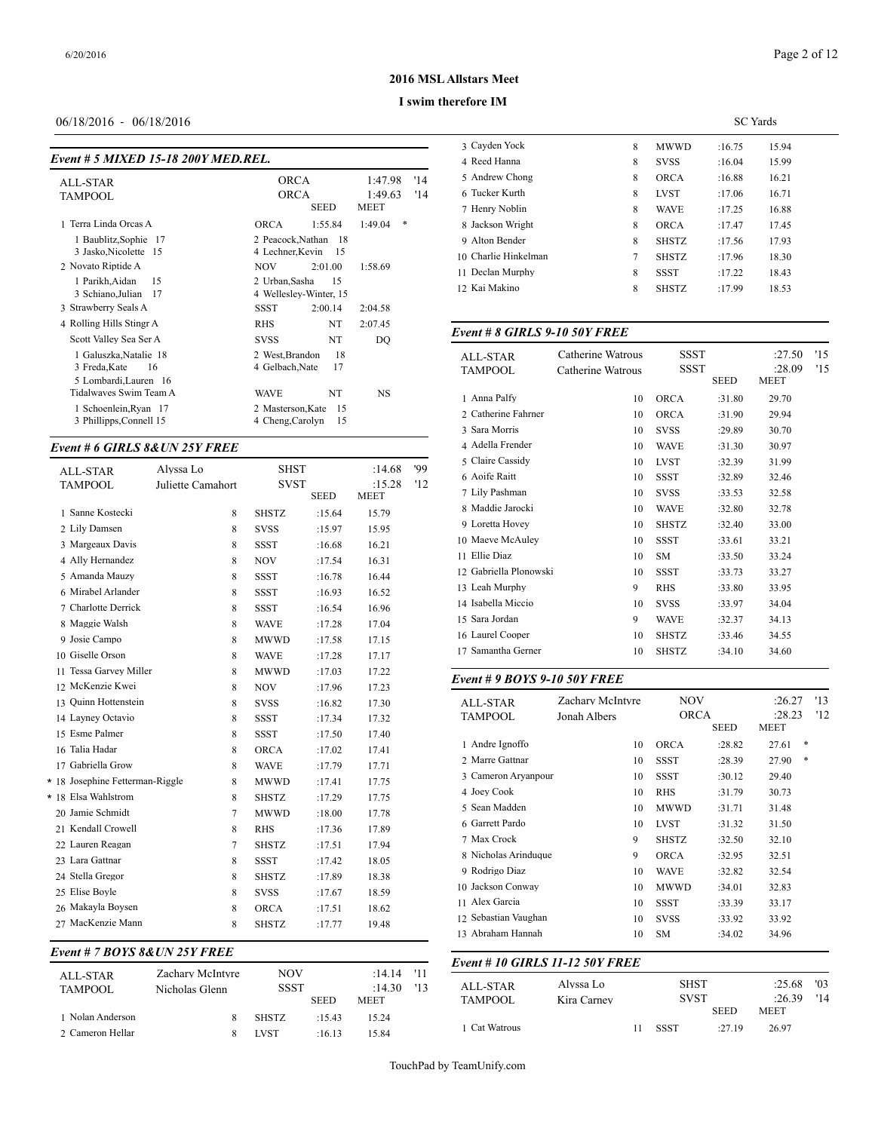# Page 2 of 12

## **2016 MSL Allstars Meet**

#### **I swim therefore IM**

# 06/18/2016 - 06/18/2016

| Event # 5 MIXED 15-18 200Y MED.REL.                                                                                                                 |                                                                                                                                                          |                                  | 4 Reed Hanna                                                                                  |
|-----------------------------------------------------------------------------------------------------------------------------------------------------|----------------------------------------------------------------------------------------------------------------------------------------------------------|----------------------------------|-----------------------------------------------------------------------------------------------|
| <b>ALL-STAR</b><br><b>TAMPOOL</b>                                                                                                                   | <b>ORCA</b><br><b>ORCA</b><br><b>SEED</b><br><b>MEET</b>                                                                                                 | '14<br>1:47.98<br>'14<br>1:49.63 | 5 Andrew Chong<br>6 Tucker Kurth<br>7 Henry Noblin                                            |
| 1 Terra Linda Orcas A<br>1 Baublitz, Sophie 17<br>3 Jasko, Nicolette 15<br>2 Novato Riptide A<br>1 Parikh, Aidan<br>15<br>3 Schiano, Julian<br>- 17 | 1:55.84<br><b>ORCA</b><br>2 Peacock.Nathan<br>-18<br>4 Lechner, Kevin<br>- 15<br><b>NOV</b><br>2:01.00<br>2 Urban, Sasha<br>15<br>4 Wellesley-Winter, 15 | *<br>1:49.04<br>1:58.69          | 8 Jackson Wright<br>9 Alton Bender<br>10 Charlie Hinkelm<br>11 Declan Murphy<br>12 Kai Makino |
| 3 Strawberry Seals A<br>4 Rolling Hills Stingr A<br>Scott Valley Sea Ser A                                                                          | SSST<br>2:00.14<br>NT<br><b>RHS</b><br>NT<br><b>SVSS</b>                                                                                                 | 2:04.58<br>2:07.45<br>DO         | Event # 8 GIRL.                                                                               |
| 1 Galuszka, Natalie 18<br>3 Freda, Kate<br>16<br>5 Lombardi, Lauren 16                                                                              | 18<br>2 West.Brandon<br>4 Gelbach, Nate<br>17                                                                                                            |                                  | <b>ALL-STAR</b><br><b>TAMPOOL</b>                                                             |
| Tidalwayes Swim Team A<br>1 Schoenlein, Ryan 17<br>3 Phillipps, Connell 15                                                                          | NT<br><b>WAVE</b><br>2 Masterson, Kate<br>15<br>4 Cheng, Carolyn<br>15                                                                                   | NS                               | 1 Anna Palfy<br>2 Catherine Fahrn<br>3 Sara Morris                                            |

#### *Event # 6 GIRLS 8&UN 25Y FREE*

|  | <b>ALL-STAR</b>                 | Alvssa Lo         |        | <b>SHST</b>  |             | :14.68      | '99 | $5$ Claire Cassidy  |
|--|---------------------------------|-------------------|--------|--------------|-------------|-------------|-----|---------------------|
|  | <b>TAMPOOL</b>                  | Juliette Camahort |        | <b>SVST</b>  |             | :15.28      | '12 | 6 Aoife Raitt       |
|  |                                 |                   |        |              | <b>SEED</b> | <b>MEET</b> |     | 7 Lily Pashman      |
|  | 1 Sanne Kostecki                |                   | 8      | <b>SHSTZ</b> | :15.64      | 15.79       |     | 8 Maddie Jarocki    |
|  | 2 Lily Damsen                   |                   | 8      | <b>SVSS</b>  | :15.97      | 15.95       |     | 9 Loretta Hovey     |
|  | 3 Margeaux Davis                |                   | 8      | <b>SSST</b>  | :16.68      | 16.21       |     | 10 Maeve McAuley    |
|  | 4 Ally Hernandez                |                   | 8      | <b>NOV</b>   | :17.54      | 16.31       |     | 11 Ellie Diaz       |
|  | 5 Amanda Mauzy                  |                   | 8      | <b>SSST</b>  | :16.78      | 16.44       |     | 12 Gabriella Plonov |
|  | 6 Mirabel Arlander              |                   | 8      | <b>SSST</b>  | :16.93      | 16.52       |     | 13 Leah Murphy      |
|  | 7 Charlotte Derrick             |                   | 8      | <b>SSST</b>  | :16.54      | 16.96       |     | 14 Isabella Miccio  |
|  | 8 Maggie Walsh                  |                   | 8      | <b>WAVE</b>  | :17.28      | 17.04       |     | 15 Sara Jordan      |
|  | 9 Josie Campo                   |                   | 8      | <b>MWWD</b>  | :17.58      | 17.15       |     | 16 Laurel Cooper    |
|  | 10 Giselle Orson                |                   | 8      | <b>WAVE</b>  | :17.28      | 17.17       |     | 17 Samantha Gerne   |
|  | 11 Tessa Garvey Miller          |                   | 8      | <b>MWWD</b>  | :17.03      | 17.22       |     |                     |
|  | 12 McKenzie Kwei                |                   | 8      | <b>NOV</b>   | :17.96      | 17.23       |     | Event # 9 BOYS      |
|  | 13 Ouinn Hottenstein            |                   | 8      | <b>SVSS</b>  | :16.82      | 17.30       |     | <b>ALL-STAR</b>     |
|  | 14 Layney Octavio               |                   | 8      | <b>SSST</b>  | :17.34      | 17.32       |     | <b>TAMPOOL</b>      |
|  | 15 Esme Palmer                  |                   | 8      | <b>SSST</b>  | :17.50      | 17.40       |     |                     |
|  | 16 Talia Hadar                  |                   | 8      | ORCA         | :17.02      | 17.41       |     | 1 Andre Ignoffo     |
|  | 17 Gabriella Grow               |                   | 8      | <b>WAVE</b>  | :17.79      | 17.71       |     | 2 Marre Gattnar     |
|  | * 18 Josephine Fetterman-Riggle |                   | 8      | <b>MWWD</b>  | :17.41      | 17.75       |     | 3 Cameron Aryan     |
|  | * 18 Elsa Wahlstrom             |                   | 8      | <b>SHSTZ</b> | :17.29      | 17.75       |     | 4 Joey Cook         |
|  | 20 Jamie Schmidt                |                   | $\tau$ | <b>MWWD</b>  | :18.00      | 17.78       |     | 5 Sean Madden       |
|  | 21 Kendall Crowell              |                   | 8      | <b>RHS</b>   | :17.36      | 17.89       |     | 6 Garrett Pardo     |
|  | 22 Lauren Reagan                |                   | 7      | <b>SHSTZ</b> | :17.51      | 17.94       |     | 7 Max Crock         |
|  | 23 Lara Gattnar                 |                   | 8      | <b>SSST</b>  | :17.42      | 18.05       |     | 8 Nicholas Arindu   |
|  | 24 Stella Gregor                |                   | 8      | <b>SHSTZ</b> | :17.89      | 18.38       |     | 9 Rodrigo Diaz      |
|  | 25 Elise Boyle                  |                   | 8      | <b>SVSS</b>  | :17.67      | 18.59       |     | 10 Jackson Conway   |
|  | 26 Makayla Boysen               |                   | 8      | <b>ORCA</b>  | :17.51      | 18.62       |     | 11 Alex Garcia      |
|  | 27 MacKenzie Mann               |                   | 8      | <b>SHSTZ</b> | :17.77      | 19.48       |     | 12 Sebastian Vaugh  |
|  |                                 |                   |        |              |             |             |     |                     |

# *Event # 7 BOYS 8&UN 25Y FREE*

|                     |                                    |                    |             |                  |             | Event # 10 GIRI |
|---------------------|------------------------------------|--------------------|-------------|------------------|-------------|-----------------|
| ALL-STAR<br>TAMPOOL | Zachary McIntyre<br>Nicholas Glenn | NOV<br><b>SSST</b> |             | :14.14<br>:14.30 | - '11<br>13 | ALL-STAR        |
|                     |                                    |                    | <b>SEED</b> | <b>MEET</b>      |             | <b>TAMPOOL</b>  |
| 1 Nolan Anderson    |                                    | <b>SHSTZ</b>       | .1543       | 15.24            |             |                 |
| 2 Cameron Hellar    |                                    | <b>LVST</b>        | :16.13      | 15.84            |             | 1 Cat Watrous   |

|                      |   |              | <b>SC</b> Yards |       |
|----------------------|---|--------------|-----------------|-------|
| 3 Cavden Yock        | 8 | <b>MWWD</b>  | :16.75          | 15.94 |
| 4 Reed Hanna         | 8 | <b>SVSS</b>  | :16.04          | 15.99 |
| 5 Andrew Chong       | 8 | <b>ORCA</b>  | :16.88          | 16.21 |
| 6 Tucker Kurth       | 8 | <b>LVST</b>  | :17.06          | 16.71 |
| 7 Henry Noblin       | 8 | <b>WAVE</b>  | :17.25          | 16.88 |
| 8 Jackson Wright     | 8 | <b>ORCA</b>  | :17.47          | 17.45 |
| 9 Alton Bender       | 8 | <b>SHSTZ</b> | :17.56          | 17.93 |
| 10 Charlie Hinkelman | 7 | <b>SHSTZ</b> | :17.96          | 18.30 |
| 11 Declan Murphy     | 8 | <b>SSST</b>  | :17.22          | 18.43 |
| 12 Kai Makino        | 8 | <b>SHSTZ</b> | :17.99          | 18.53 |
|                      |   |              |                 |       |

# *Event # 8 GIRLS 9-10 50Y FREE*

| <b>ALL-STAR</b>        | Catherine Watrous | SSST         |             | :27.50                | '15 |
|------------------------|-------------------|--------------|-------------|-----------------------|-----|
| <b>TAMPOOL</b>         | Catherine Watrous | <b>SSST</b>  | <b>SEED</b> | :28.09<br><b>MEET</b> | '15 |
| 1 Anna Palfy           | 10                | <b>ORCA</b>  | :31.80      | 29.70                 |     |
| 2 Catherine Fahrner    | 10                | <b>ORCA</b>  | :31.90      | 29.94                 |     |
| 3 Sara Morris          | 10                | <b>SVSS</b>  | :29.89      | 30.70                 |     |
| 4 Adella Frender       | 10                | <b>WAVE</b>  | :31.30      | 30.97                 |     |
| 5 Claire Cassidy       | 10                | <b>LVST</b>  | :32.39      | 31.99                 |     |
| 6 Aoife Raitt          | 10                | <b>SSST</b>  | :32.89      | 32.46                 |     |
| 7 Lily Pashman         | 10                | <b>SVSS</b>  | :33.53      | 32.58                 |     |
| 8 Maddie Jarocki       | 10                | <b>WAVE</b>  | :32.80      | 32.78                 |     |
| 9 Loretta Hovey        | 10                | <b>SHSTZ</b> | :32.40      | 33.00                 |     |
| 10 Maeve McAulev       | 10                | <b>SSST</b>  | :33.61      | 33.21                 |     |
| 11 Ellie Diaz          | 10                | <b>SM</b>    | :33.50      | 33.24                 |     |
| 12 Gabriella Plonowski | 10                | <b>SSST</b>  | :33.73      | 33.27                 |     |
| 13 Leah Murphy         | 9                 | <b>RHS</b>   | :33.80      | 33.95                 |     |
| 14 Isabella Miccio     | 10                | <b>SVSS</b>  | :33.97      | 34.04                 |     |
| 15 Sara Jordan         | 9                 | <b>WAVE</b>  | :32.37      | 34.13                 |     |
| 16 Laurel Cooper       | 10                | <b>SHSTZ</b> | :33.46      | 34.55                 |     |
| 17 Samantha Gerner     | 10                | <b>SHSTZ</b> | :34.10      | 34.60                 |     |
|                        |                   |              |             |                       |     |

# *Event # 9 BOYS 9-10 50Y FREE*

|                      | Zachary McIntyre<br>Jonah Albers |              | <b>NOV</b><br><b>ORCA</b> |            | '13<br>'12 |  |
|----------------------|----------------------------------|--------------|---------------------------|------------|------------|--|
|                      |                                  |              | <b>SEED</b>               | MEET       |            |  |
| 1 Andre Ignoffo      | 10                               | <b>ORCA</b>  | :28.82                    | *<br>27.61 |            |  |
| 2 Marre Gattnar      | 10                               | <b>SSST</b>  | :28.39                    | *<br>27.90 |            |  |
| 3 Cameron Aryanpour  | 10                               | <b>SSST</b>  | :30.12                    | 29.40      |            |  |
| 4 Joey Cook          | 10                               | <b>RHS</b>   | :31.79                    | 30.73      |            |  |
| 5 Sean Madden        | 10                               | <b>MWWD</b>  | :31.71                    | 31.48      |            |  |
| 6 Garrett Pardo      | 10                               | <b>LVST</b>  | :31.32                    | 31.50      |            |  |
| 7 Max Crock          | 9                                | <b>SHSTZ</b> | :32.50                    | 32.10      |            |  |
| 8 Nicholas Arinduque | 9                                | <b>ORCA</b>  | :32.95                    | 32.51      |            |  |
| 9 Rodrigo Diaz       | 10                               | <b>WAVE</b>  | :32.82                    | 32.54      |            |  |
| 10 Jackson Conway    | 10                               | <b>MWWD</b>  | :34.01                    | 32.83      |            |  |
| 11 Alex Garcia       | 10                               | <b>SSST</b>  | :33.39                    | 33.17      |            |  |
| 12 Sebastian Vaughan | 10                               | <b>SVSS</b>  | :33.92                    | 33.92      |            |  |
| 13 Abraham Hannah    | 10                               | <b>SM</b>    | :34.02                    | 34.96      |            |  |

# *Event # 10 GIRLS 11-12 50Y FREE*

| ALL-STAR<br>TAMPOOL | Alvssa Lo<br>Kira Carney | <b>SHST</b><br><b>SVST</b> |             | :25.68<br>:26.39 | '03<br>'14 |
|---------------------|--------------------------|----------------------------|-------------|------------------|------------|
|                     |                          |                            | <b>SEED</b> | <b>MEET</b>      |            |
| 1 Cat Watrous       |                          | <b>SSST</b>                | .2719       | 26.97            |            |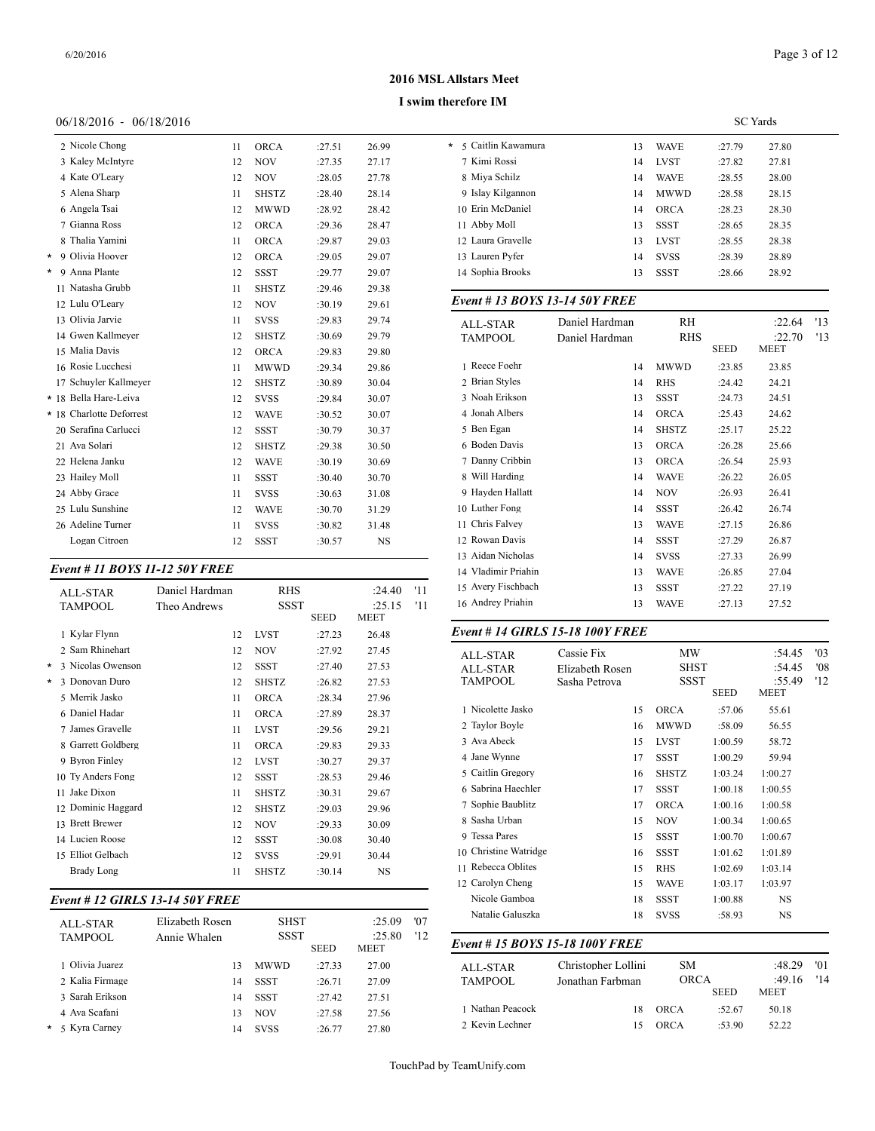#### **I swim therefore IM**

#### 06/18/2016 - 06/18/2016

|          | 2 Nicole Chong           | 11 | <b>ORCA</b>  | :27.51 | 26.99     | 5 Caitlin<br>* |
|----------|--------------------------|----|--------------|--------|-----------|----------------|
|          | 3 Kaley McIntyre         | 12 | <b>NOV</b>   | :27.35 | 27.17     | 7 Kimi I       |
|          | 4 Kate O'Leary           | 12 | <b>NOV</b>   | :28.05 | 27.78     | 8 Miya !       |
|          | 5 Alena Sharp            | 11 | <b>SHSTZ</b> | :28.40 | 28.14     | 9 Islay F      |
|          | 6 Angela Tsai            | 12 | MWWD         | :28.92 | 28.42     | 10 Erin M      |
|          | 7 Gianna Ross            | 12 | ORCA         | :29.36 | 28.47     | $11$ Abby      |
|          | 8 Thalia Yamini          | 11 | ORCA         | :29.87 | 29.03     | 12 Laura       |
| $^\star$ | 9 Olivia Hoover          | 12 | <b>ORCA</b>  | :29.05 | 29.07     | 13 Laurer      |
| $\star$  | 9 Anna Plante            | 12 | <b>SSST</b>  | :29.77 | 29.07     | 14 Sophia      |
|          | 11 Natasha Grubb         | 11 | <b>SHSTZ</b> | :29.46 | 29.38     |                |
|          | 12 Lulu O'Leary          | 12 | <b>NOV</b>   | :30.19 | 29.61     | Event $#$      |
|          | 13 Olivia Jarvie         | 11 | <b>SVSS</b>  | :29.83 | 29.74     | ALL-ST         |
|          | 14 Gwen Kallmeyer        | 12 | <b>SHSTZ</b> | :30.69 | 29.79     | <b>TAMPC</b>   |
|          | 15 Malia Davis           | 12 | <b>ORCA</b>  | :29.83 | 29.80     |                |
|          | 16 Rosie Lucchesi        | 11 | <b>MWWD</b>  | :29.34 | 29.86     | 1 Reece        |
|          | 17 Schuyler Kallmeyer    | 12 | <b>SHSTZ</b> | :30.89 | 30.04     | 2 Brian        |
|          | * 18 Bella Hare-Leiva    | 12 | <b>SVSS</b>  | :29.84 | 30.07     | 3 Noah 1       |
|          | * 18 Charlotte Deforrest | 12 | <b>WAVE</b>  | :30.52 | 30.07     | 4 Jonah        |
|          | 20 Serafina Carlucci     | 12 | <b>SSST</b>  | :30.79 | 30.37     | 5 Ben E        |
|          | 21 Ava Solari            | 12 | <b>SHSTZ</b> | :29.38 | 30.50     | 6 Boden        |
|          | 22 Helena Janku          | 12 | <b>WAVE</b>  | :30.19 | 30.69     | 7 Danny        |
|          | 23 Hailey Moll           | 11 | <b>SSST</b>  | :30.40 | 30.70     | 8 Will H       |
|          | 24 Abby Grace            | 11 | <b>SVSS</b>  | :30.63 | 31.08     | 9 Hayde        |
|          | 25 Lulu Sunshine         | 12 | <b>WAVE</b>  | :30.70 | 31.29     | 10 Luther      |
|          | 26 Adeline Turner        | 11 | <b>SVSS</b>  | :30.82 | 31.48     | 11 Chris 1     |
|          | Logan Citroen            | 12 | <b>SSST</b>  | :30.57 | <b>NS</b> | 12 Rowar       |

#### *Event # 11 BOYS 11-12 50Y FREE*

|   | <b>ALL-STAR</b><br><b>TAMPOOL</b> | Daniel Hardman<br>Theo Andrews | <b>RHS</b><br>SSST | <b>SEED</b> | :24.40<br>:25.15<br>MEET | '11<br>'11 | 15 Avery Fischbach<br>16 Andrey Priahin |
|---|-----------------------------------|--------------------------------|--------------------|-------------|--------------------------|------------|-----------------------------------------|
|   | 1 Kylar Flynn                     | 12                             | <b>LVST</b>        | :27.23      | 26.48                    |            | Event # 14 GIRI                         |
|   | 2 Sam Rhinehart                   | 12                             | <b>NOV</b>         | :27.92      | 27.45                    |            | ALL-STAR                                |
| * | 3 Nicolas Owenson                 | 12                             | <b>SSST</b>        | :27.40      | 27.53                    |            | <b>ALL-STAR</b>                         |
| * | 3 Donovan Duro                    | 12                             | <b>SHSTZ</b>       | :26.82      | 27.53                    |            | TAMPOOL                                 |
|   | 5 Merrik Jasko                    | 11                             | <b>ORCA</b>        | :28.34      | 27.96                    |            |                                         |
|   | 6 Daniel Hadar                    | 11                             | <b>ORCA</b>        | :27.89      | 28.37                    |            | 1 Nicolette Jasko                       |
|   | 7 James Gravelle                  | 11                             | <b>LVST</b>        | :29.56      | 29.21                    |            | 2 Taylor Boyle                          |
|   | 8 Garrett Goldberg                | 11                             | <b>ORCA</b>        | :29.83      | 29.33                    |            | 3 Ava Abeck                             |
|   | 9 Byron Finley                    | 12                             | <b>LVST</b>        | :30.27      | 29.37                    |            | 4 Jane Wynne                            |
|   | 10 Ty Anders Fong                 | 12                             | <b>SSST</b>        | :28.53      | 29.46                    |            | 5 Caitlin Gregory                       |
|   | Jake Dixon<br>11                  | 11                             | <b>SHSTZ</b>       | :30.31      | 29.67                    |            | 6 Sabrina Haechle                       |
|   | 12 Dominic Haggard                | 12                             | <b>SHSTZ</b>       | :29.03      | 29.96                    |            | 7 Sophie Baublitz                       |
|   | 13 Brett Brewer                   | 12                             | <b>NOV</b>         | :29.33      | 30.09                    |            | 8 Sasha Urban                           |
|   | 14 Lucien Roose                   | 12                             | <b>SSST</b>        | :30.08      | 30.40                    |            | 9 Tessa Pares                           |
|   | 15 Elliot Gelbach                 | 12                             | <b>SVSS</b>        | :29.91      | 30.44                    |            | 10 Christine Watrid                     |
|   | <b>Brady Long</b>                 | 11                             | <b>SHSTZ</b>       | :30.14      | NS                       |            | 11 Rebecca Oblites                      |
|   |                                   |                                |                    |             |                          |            | $100 \, \text{C}$ $1 \, \text{C}$       |

# *Event # 12 GIRLS 13-14 50Y FREE*

| ALL-STAR        | Elizabeth Rosen |             | <b>SHST</b><br><b>SSST</b> | :25.09<br>:25.80 | '07<br>'12 | Natalie Galuszk  |
|-----------------|-----------------|-------------|----------------------------|------------------|------------|------------------|
| <b>TAMPOOL</b>  | Annie Whalen    |             | <b>SEED</b>                | <b>MEET</b>      |            | Event # 15 $BOY$ |
| 1 Olivia Juarez | 13              | <b>MWWD</b> | :27.33                     | 27.00            |            | ALL-STAR         |
| 2 Kalia Firmage | 14              | <b>SSST</b> | :26.71                     | 27.09            |            | <b>TAMPOOL</b>   |
| 3 Sarah Erikson | 14              | <b>SSST</b> | :27.42                     | 27.51            |            |                  |
| 4 Ava Scafani   | 13              | <b>NOV</b>  | :27.58                     | 27.56            |            | 1 Nathan Peacock |
| * 5 Kyra Carney | 14              | <b>SVSS</b> | :26.77                     | 27.80            |            | 2 Kevin Lechner  |

|                                  |    |             |        | <b>SC</b> Yards |
|----------------------------------|----|-------------|--------|-----------------|
| 5 Caitlin Kawamura<br>$^{\star}$ | 13 | <b>WAVE</b> | :27.79 | 27.80           |
| 7 Kimi Rossi                     | 14 | <b>LVST</b> | :27.82 | 27.81           |
| 8 Miva Schilz                    | 14 | <b>WAVE</b> | :28.55 | 28.00           |
| 9 Islay Kilgannon                | 14 | <b>MWWD</b> | :28.58 | 28.15           |
| 10 Erin McDaniel                 | 14 | <b>ORCA</b> | :28.23 | 28.30           |
| 11 Abby Moll                     | 13 | <b>SSST</b> | :28.65 | 28.35           |
| 12 Laura Gravelle                | 13 | <b>LVST</b> | :28.55 | 28.38           |
| 13 Lauren Pyfer                  | 14 | <b>SVSS</b> | :28.39 | 28.89           |
| 14 Sophia Brooks                 | 13 | <b>SSST</b> | :28.66 | 28.92           |

#### *Event # 13 BOYS 13-14 50Y FREE*

| <b>ALL-STAR</b>     | Daniel Hardman | RH           |             | :22.64                | '13 |
|---------------------|----------------|--------------|-------------|-----------------------|-----|
| <b>TAMPOOL</b>      | Daniel Hardman | RHS          | <b>SEED</b> | :22.70<br><b>MEET</b> | '13 |
| 1 Reece Foehr       | 14             | MWWD         | :23.85      | 23.85                 |     |
| 2 Brian Styles      | 14             | <b>RHS</b>   | :24.42      | 24.21                 |     |
| 3 Noah Erikson      | 13             | <b>SSST</b>  | :24.73      | 24.51                 |     |
| 4 Jonah Albers      | 14             | <b>ORCA</b>  | :25.43      | 24.62                 |     |
| 5 Ben Egan          | 14             | <b>SHSTZ</b> | :25.17      | 25.22                 |     |
| 6 Boden Davis       | 13             | <b>ORCA</b>  | :26.28      | 25.66                 |     |
| 7 Danny Cribbin     | 13             | <b>ORCA</b>  | :26.54      | 25.93                 |     |
| 8 Will Harding      | 14             | <b>WAVE</b>  | :26.22      | 26.05                 |     |
| 9 Hayden Hallatt    | 14             | <b>NOV</b>   | :26.93      | 26.41                 |     |
| 10 Luther Fong      | 14             | <b>SSST</b>  | :26.42      | 26.74                 |     |
| 11 Chris Falvey     | 13             | <b>WAVE</b>  | :27.15      | 26.86                 |     |
| 12 Rowan Davis      | 14             | <b>SSST</b>  | :27.29      | 26.87                 |     |
| 13 Aidan Nicholas   | 14             | <b>SVSS</b>  | :27.33      | 26.99                 |     |
| 14 Vladimir Priahin | 13             | <b>WAVE</b>  | :26.85      | 27.04                 |     |
| 15 Avery Fischbach  | 13             | <b>SSST</b>  | :27.22      | 27.19                 |     |
| 16 Andrey Priahin   | 13             | WAVE         | :27.13      | 27.52                 |     |
|                     |                |              |             |                       |     |

# *Event # 14 GIRLS 15-18 100Y FREE*

| <b>ALL-STAR</b>                 | Cassie Fix          | <b>MW</b>    |             | :54.45<br>:54.45      | '03 |
|---------------------------------|---------------------|--------------|-------------|-----------------------|-----|
| <b>ALL-STAR</b>                 | Elizabeth Rosen     |              | <b>SHST</b> |                       | '08 |
| <b>TAMPOOL</b>                  | Sasha Petrova       | <b>SSST</b>  |             | :55.49                | '12 |
|                                 |                     |              | <b>SEED</b> | <b>MEET</b>           |     |
| 1 Nicolette Jasko               | 15                  | <b>ORCA</b>  | :57.06      | 55.61                 |     |
| 2 Taylor Boyle                  | 16                  | <b>MWWD</b>  | :58.09      | 56.55                 |     |
| 3 Ava Abeck                     | 15                  | <b>LVST</b>  | 1:00.59     | 58.72                 |     |
| 4 Jane Wynne                    | 17                  | <b>SSST</b>  | 1:00.29     | 59.94                 |     |
| 5 Caitlin Gregory               | 16                  | <b>SHSTZ</b> | 1:03.24     | 1:00.27               |     |
| 6 Sabrina Haechler              | 17                  | <b>SSST</b>  | 1:00.18     | 1:00.55               |     |
| 7 Sophie Baublitz               | 17                  | <b>ORCA</b>  | 1:00.16     | 1:00.58               |     |
| 8 Sasha Urban                   | 15                  | <b>NOV</b>   | 1:00.34     | 1:00.65               |     |
| 9 Tessa Pares                   | 15                  | <b>SSST</b>  | 1:00.70     | 1:00.67               |     |
| 10 Christine Watridge           | 16                  | <b>SSST</b>  | 1:01.62     | 1:01.89               |     |
| 11 Rebecca Oblites              | 15                  | <b>RHS</b>   | 1:02.69     | 1:03.14               |     |
| 12 Carolyn Cheng                | 15                  | <b>WAVE</b>  | 1:03.17     | 1:03.97               |     |
| Nicole Gamboa                   | 18                  | <b>SSST</b>  | 1:00.88     | <b>NS</b>             |     |
| Natalie Galuszka                | 18                  | <b>SVSS</b>  | :58.93      | <b>NS</b>             |     |
| Event # 15 BOYS 15-18 100Y FREE |                     |              |             |                       |     |
| <b>ALL-STAR</b>                 | Christopher Lollini | <b>SM</b>    |             | :48.29                | '01 |
| <b>TAMPOOL</b>                  | Jonathan Farbman    | <b>ORCA</b>  | <b>SEED</b> | :49.16<br><b>MEET</b> | '14 |
| 1 Nathan Peacock                | 18                  | <b>ORCA</b>  | :52.67      | 50.18                 |     |
|                                 |                     |              |             |                       |     |

2 Kevin Lechner 15 ORCA :53.90 52.22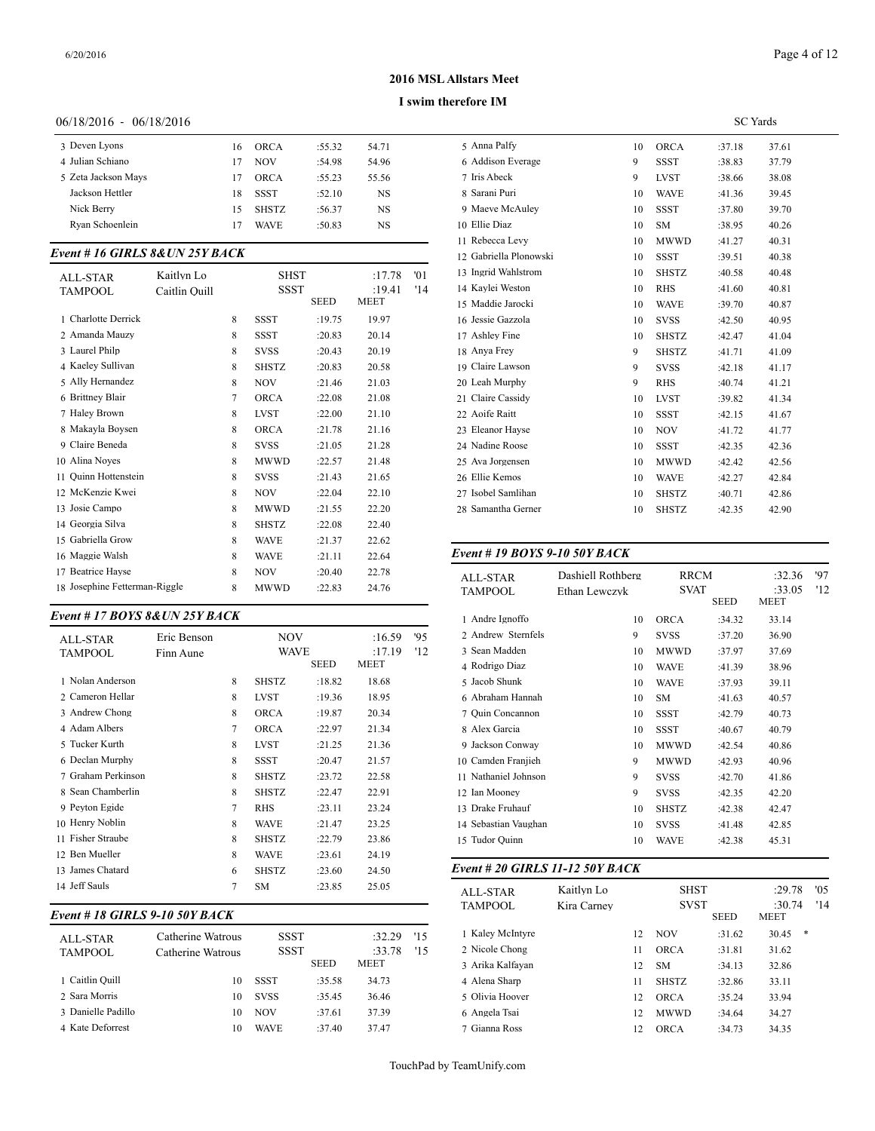#### **I swim therefore IM**

#### 06/18/2016 - 06/18/2016

| 3 Deven Lyons       | 16 | ORCA         | :55.32 | 54.71     | 5 Anna l   |
|---------------------|----|--------------|--------|-----------|------------|
| 4 Julian Schiano    | 17 | <b>NOV</b>   | :54.98 | 54.96     | 6 Addiso   |
| 5 Zeta Jackson Mays | 17 | ORCA         | :55.23 | 55.56     | 7 Iris Ab  |
| Jackson Hettler     | 18 | SSST         | :52.10 | <b>NS</b> | 8 Sarani   |
| Nick Berry          | 15 | <b>SHSTZ</b> | :56.37 | NS        | 9 Maeve    |
| Rvan Schoenlein     | 17 | <b>WAVE</b>  | :50.83 | NS        | 10 Ellie L |
|                     |    |              |        |           |            |

# *Event # 16 GIRLS 8&UN 25Y BACK*

| ALL-STAR<br><b>TAMPOOL</b>    | Kaitlyn Lo<br>Caitlin Ouill |   | <b>SHST</b><br><b>SSST</b> |             | :17.78<br>:19.41 | '01<br>'14 | 13 Ingrid Wahlstron<br>14 Kavlei Weston |
|-------------------------------|-----------------------------|---|----------------------------|-------------|------------------|------------|-----------------------------------------|
|                               |                             |   |                            | <b>SEED</b> | <b>MEET</b>      |            | 15 Maddie Jarocki                       |
| 1 Charlotte Derrick           |                             | 8 | <b>SSST</b>                | :19.75      | 19.97            |            | 16 Jessie Gazzola                       |
| 2 Amanda Mauzy                |                             | 8 | <b>SSST</b>                | :20.83      | 20.14            |            | 17 Ashley Fine                          |
| 3 Laurel Philp                |                             | 8 | <b>SVSS</b>                | :20.43      | 20.19            |            | 18 Anya Frey                            |
| 4 Kaelev Sullivan             |                             | 8 | <b>SHSTZ</b>               | :20.83      | 20.58            |            | 19 Claire Lawson                        |
| 5 Ally Hernandez              |                             | 8 | <b>NOV</b>                 | :21.46      | 21.03            |            | 20 Leah Murphy                          |
| 6 Brittney Blair              |                             | 7 | <b>ORCA</b>                | :22.08      | 21.08            |            | 21 Claire Cassidy                       |
| 7 Haley Brown                 |                             | 8 | <b>LVST</b>                | :22.00      | 21.10            |            | 22 Aoife Raitt                          |
| 8 Makayla Boysen              |                             | 8 | <b>ORCA</b>                | :21.78      | 21.16            |            | 23 Eleanor Hayse                        |
| 9 Claire Beneda               |                             | 8 | <b>SVSS</b>                | :21.05      | 21.28            |            | 24 Nadine Roose                         |
| 10 Alina Noves                |                             | 8 | <b>MWWD</b>                | :22.57      | 21.48            |            | 25 Ava Jorgensen                        |
| Quinn Hottenstein<br>11       |                             | 8 | <b>SVSS</b>                | :21.43      | 21.65            |            | 26 Ellie Kemos                          |
| 12 McKenzie Kwei              |                             | 8 | <b>NOV</b>                 | :22.04      | 22.10            |            | 27 Isobel Samlihan                      |
| 13 Josie Campo                |                             | 8 | <b>MWWD</b>                | :21.55      | 22.20            |            | 28 Samantha Gerne                       |
| 14 Georgia Silva              |                             | 8 | <b>SHSTZ</b>               | :22.08      | 22.40            |            |                                         |
| 15 Gabriella Grow             |                             | 8 | <b>WAVE</b>                | :21.37      | 22.62            |            |                                         |
| 16 Maggie Walsh               |                             | 8 | <b>WAVE</b>                | :21.11      | 22.64            |            | Event # 19 $BOY$                        |
| 17 Beatrice Hayse             |                             | 8 | <b>NOV</b>                 | :20.40      | 22.78            |            | <b>ALL-STAR</b>                         |
| 18 Josephine Fetterman-Riggle |                             | 8 | <b>MWWD</b>                | :22.83      | 24.76            |            | <b>TAMPOOL</b>                          |

# *Event # 17 BOYS 8&UN 25Y BACK*

| <b>ALL-STAR</b>    | Eric Benson |   | NOV          |        | :16.59 | 95  | 2 Andrew Sternfe   |
|--------------------|-------------|---|--------------|--------|--------|-----|--------------------|
| TAMPOOL            | Finn Aune   |   | <b>WAVE</b>  |        | :17.19 | '12 | 3 Sean Madden      |
|                    |             |   |              | SEED   | MEET   |     | 4 Rodrigo Diaz     |
| 1 Nolan Anderson   |             | 8 | <b>SHSTZ</b> | :18.82 | 18.68  |     | 5 Jacob Shunk      |
| 2 Cameron Hellar   |             | 8 | <b>LVST</b>  | :19.36 | 18.95  |     | 6 Abraham Hanna    |
| 3 Andrew Chong     |             | 8 | <b>ORCA</b>  | :19.87 | 20.34  |     | 7 Ouin Concannoi   |
| 4 Adam Albers      |             | 7 | <b>ORCA</b>  | :22.97 | 21.34  |     | 8 Alex Garcia      |
| 5 Tucker Kurth     |             | 8 | <b>LVST</b>  | :21.25 | 21.36  |     | 9 Jackson Conway   |
| 6 Declan Murphy    |             | 8 | <b>SSST</b>  | :20.47 | 21.57  |     | 10 Camden Franjie  |
| 7 Graham Perkinson |             | 8 | <b>SHSTZ</b> | :23.72 | 22.58  |     | 11 Nathaniel Johns |
| 8 Sean Chamberlin  |             | 8 | <b>SHSTZ</b> | :22.47 | 22.91  |     | 12 Ian Mooney      |
| 9 Peyton Egide     |             | 7 | <b>RHS</b>   | :23.11 | 23.24  |     | 13 Drake Fruhauf   |
| 10 Henry Noblin    |             | 8 | <b>WAVE</b>  | :21.47 | 23.25  |     | 14 Sebastian Vaugh |
| 11 Fisher Straube  |             | 8 | <b>SHSTZ</b> | :22.79 | 23.86  |     | 15 Tudor Quinn     |
| 12 Ben Mueller     |             | 8 | <b>WAVE</b>  | :23.61 | 24.19  |     |                    |
| 13 James Chatard   |             | 6 | <b>SHSTZ</b> | :23.60 | 24.50  |     | Event # 20 GIRI    |
| 14 Jeff Sauls      |             | 7 | <b>SM</b>    | :23.85 | 25.05  |     | ATT STAD           |

# *Event # 18 GIRLS 9-10 50Y BACK*

| ALL-STAR<br><b>TAMPOOL</b> | Catherine Watrous<br>Catherine Watrous | <b>SSST</b><br><b>SSST</b> | <b>SEED</b> | :32.29<br>:33.78<br><b>MEET</b> | '15<br>15 | 1 Kalev McIntyre<br>2 Nicole Chong<br>3 Arika Kalfavan |
|----------------------------|----------------------------------------|----------------------------|-------------|---------------------------------|-----------|--------------------------------------------------------|
| 1 Caitlin Quill            | 10                                     | SSST                       | :35.58      | 34.73                           |           | 4 Alena Sharp                                          |
| 2 Sara Morris              | 10                                     | <b>SVSS</b>                | :35.45      | 36.46                           |           | 5 Olivia Hoover                                        |
| 3 Danielle Padillo         | 10                                     | <b>NOV</b>                 | :37.61      | 37.39                           |           | 6 Angela Tsai                                          |
| 4 Kate Deforrest           | 10                                     | <b>WAVE</b>                | :37.40      | 37.47                           |           | 7 Gianna Ross                                          |

|                        |    |              | <b>SC</b> Yards |       |
|------------------------|----|--------------|-----------------|-------|
| 5 Anna Palfy           | 10 | <b>ORCA</b>  | :37.18          | 37.61 |
| 6 Addison Everage      | 9  | <b>SSST</b>  | :38.83          | 37.79 |
| 7 Iris Abeck           | 9  | <b>LVST</b>  | :38.66          | 38.08 |
| 8 Sarani Puri          | 10 | <b>WAVE</b>  | :41.36          | 39.45 |
| 9 Maeve McAulev        | 10 | <b>SSST</b>  | :37.80          | 39.70 |
| 10 Ellie Diaz          | 10 | <b>SM</b>    | :38.95          | 40.26 |
| 11 Rebecca Levy        | 10 | <b>MWWD</b>  | :41.27          | 40.31 |
| 12 Gabriella Plonowski | 10 | <b>SSST</b>  | :39.51          | 40.38 |
| 13 Ingrid Wahlstrom    | 10 | <b>SHSTZ</b> | :40.58          | 40.48 |
| 14 Kavlei Weston       | 10 | <b>RHS</b>   | :41.60          | 40.81 |
| 15 Maddie Jarocki      | 10 | <b>WAVE</b>  | :39.70          | 40.87 |
| 16 Jessie Gazzola      | 10 | <b>SVSS</b>  | :42.50          | 40.95 |
| 17 Ashley Fine         | 10 | <b>SHSTZ</b> | :42.47          | 41.04 |
| 18 Anya Frey           | 9  | <b>SHSTZ</b> | :41.71          | 41.09 |
| 19 Claire Lawson       | 9  | <b>SVSS</b>  | :42.18          | 41.17 |
| 20 Leah Murphy         | 9  | <b>RHS</b>   | :40.74          | 41.21 |
| 21 Claire Cassidy      | 10 | <b>LVST</b>  | :39.82          | 41.34 |
| 22 Aoife Raitt         | 10 | <b>SSST</b>  | :42.15          | 41.67 |
| 23 Eleanor Hayse       | 10 | <b>NOV</b>   | :41.72          | 41.77 |
| 24 Nadine Roose        | 10 | <b>SSST</b>  | :42.35          | 42.36 |
| 25 Ava Jorgensen       | 10 | <b>MWWD</b>  | :42.42          | 42.56 |
| 26 Ellie Kemos         | 10 | <b>WAVE</b>  | :42.27          | 42.84 |
| 27 Isobel Samlihan     | 10 | <b>SHSTZ</b> | :40.71          | 42.86 |
| 28 Samantha Gerner     | 10 | <b>SHSTZ</b> | :42.35          | 42.90 |
|                        |    |              |                 |       |

#### *Event # 19 BOYS 9-10 50Y BACK*

| ALL-STAR<br>TAMPOOL  | Dashiell Rothberg<br>Ethan Lewczyk | <b>RRCM</b><br><b>SVAT</b><br><b>SEED</b> |        | :32.36<br>:33.05<br>MEET | 97<br>'12 |
|----------------------|------------------------------------|-------------------------------------------|--------|--------------------------|-----------|
| 1 Andre Ignoffo      | 10                                 | <b>ORCA</b>                               | :34.32 | 33.14                    |           |
| 2 Andrew Sternfels   | 9                                  | <b>SVSS</b>                               | :37.20 | 36.90                    |           |
| 3 Sean Madden        | 10                                 | <b>MWWD</b>                               | :37.97 | 37.69                    |           |
| 4 Rodrigo Diaz       | 10                                 | <b>WAVE</b>                               | :41.39 | 38.96                    |           |
| 5 Jacob Shunk        | 10                                 | <b>WAVE</b>                               | :37.93 | 39.11                    |           |
| 6 Abraham Hannah     | 10                                 | <b>SM</b>                                 | :41.63 | 40.57                    |           |
| 7 Ouin Concannon     | 10                                 | <b>SSST</b>                               | :42.79 | 40.73                    |           |
| 8 Alex Garcia        | 10                                 | <b>SSST</b>                               | :40.67 | 40.79                    |           |
| 9 Jackson Conway     | 10                                 | <b>MWWD</b>                               | :42.54 | 40.86                    |           |
| 10 Camden Franjieh   | 9                                  | <b>MWWD</b>                               | :42.93 | 40.96                    |           |
| 11 Nathaniel Johnson | 9                                  | <b>SVSS</b>                               | :42.70 | 41.86                    |           |
| 12 Ian Mooney        | 9                                  | <b>SVSS</b>                               | :42.35 | 42.20                    |           |
| 13 Drake Fruhauf     | 10                                 | <b>SHSTZ</b>                              | :42.38 | 42.47                    |           |
| 14 Sebastian Vaughan | 10                                 | <b>SVSS</b>                               | :41.48 | 42.85                    |           |
| 15 Tudor Quinn       | 10                                 | <b>WAVE</b>                               | :42.38 | 45.31                    |           |
|                      |                                    |                                           |        |                          |           |

# *Event # 20 GIRLS 11-12 50Y BACK*

| ALL-STAR         | Kaitlyn Lo  |    | SHST         | :29.78      | '05                   |     |
|------------------|-------------|----|--------------|-------------|-----------------------|-----|
| <b>TAMPOOL</b>   | Kira Carnev |    | <b>SVST</b>  | <b>SEED</b> | :30.74<br><b>MEET</b> | '14 |
| 1 Kalev McIntyre |             | 12 | <b>NOV</b>   | :31.62      | 30.45                 | *   |
| 2 Nicole Chong   |             | 11 | <b>ORCA</b>  | :31.81      | 31.62                 |     |
| 3 Arika Kalfayan |             | 12 | <b>SM</b>    | :34.13      | 32.86                 |     |
| 4 Alena Sharp    |             | 11 | <b>SHSTZ</b> | :32.86      | 33.11                 |     |
| 5 Olivia Hoover  |             | 12 | <b>ORCA</b>  | :35.24      | 33.94                 |     |
| 6 Angela Tsai    |             | 12 | <b>MWWD</b>  | :34.64      | 34.27                 |     |
| 7 Gianna Ross    |             | 12 | ORCA         | :34.73      | 34.35                 |     |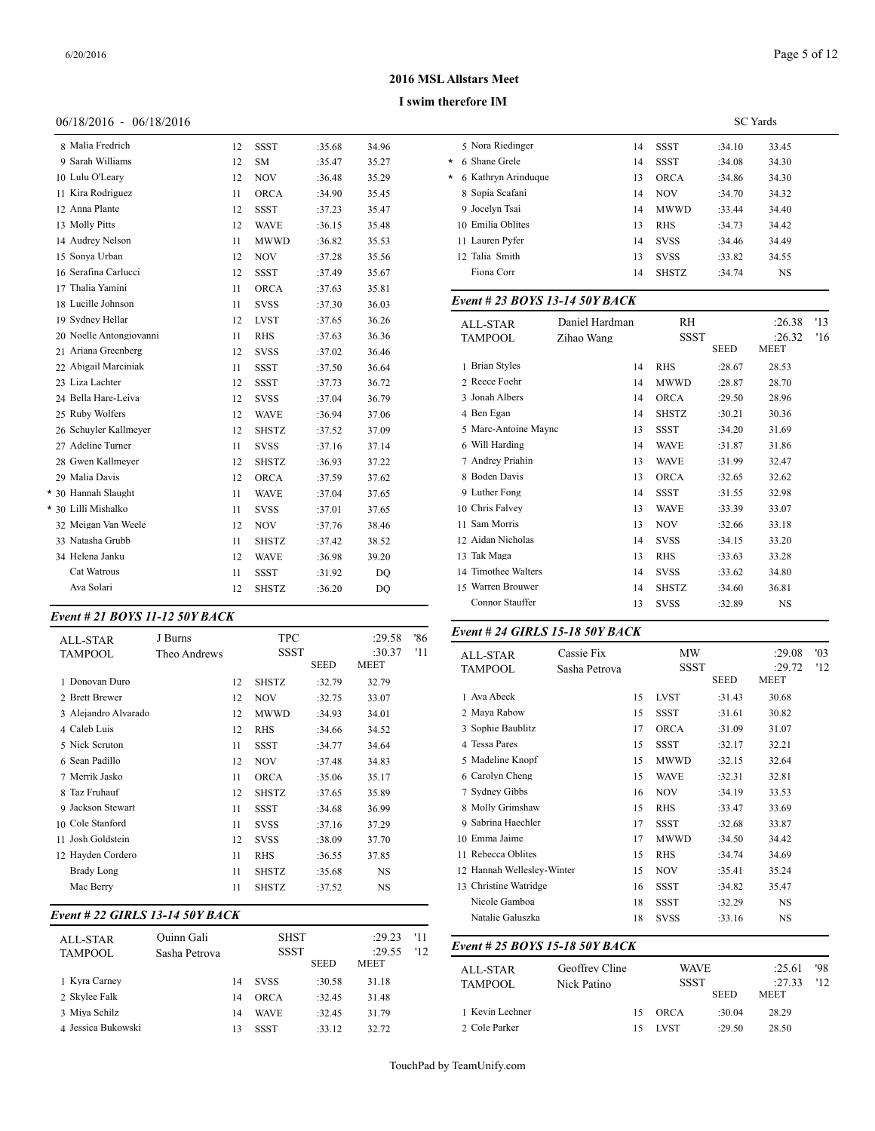# Page 5 of 12

#### **2016 MSL Allstars Meet**

#### **I swim therefore IM**

# 06/18/2016 - 06/18/2016

| 8 Malia Fredrich        | 12 | <b>SSST</b>  | :35.68 | 34.96 | 5 Nora Riedinge      |
|-------------------------|----|--------------|--------|-------|----------------------|
| 9 Sarah Williams        | 12 | <b>SM</b>    | :35.47 | 35.27 | 6 Shane Grele<br>*   |
| 10 Lulu O'Leary         | 12 | <b>NOV</b>   | :36.48 | 35.29 | 6 Kathryn Arind<br>* |
| 11 Kira Rodriguez       | 11 | <b>ORCA</b>  | :34.90 | 35.45 | 8 Sopia Scafani      |
| 12 Anna Plante          | 12 | <b>SSST</b>  | :37.23 | 35.47 | 9 Jocelyn Tsai       |
| 13 Molly Pitts          | 12 | <b>WAVE</b>  | :36.15 | 35.48 | 10 Emilia Oblites    |
| 14 Audrey Nelson        | 11 | <b>MWWD</b>  | :36.82 | 35.53 | 11 Lauren Pyfer      |
| 15 Sonya Urban          | 12 | <b>NOV</b>   | :37.28 | 35.56 | 12 Talia Smith       |
| 16 Serafina Carlucci    | 12 | <b>SSST</b>  | :37.49 | 35.67 | Fiona Corr           |
| 17 Thalia Yamini        | 11 | <b>ORCA</b>  | :37.63 | 35.81 |                      |
| 18 Lucille Johnson      | 11 | <b>SVSS</b>  | :37.30 | 36.03 | Event # 23 $BO$      |
| 19 Sydney Hellar        | 12 | <b>LVST</b>  | :37.65 | 36.26 | <b>ALL-STAR</b>      |
| 20 Noelle Antongiovanni | 11 | <b>RHS</b>   | :37.63 | 36.36 | <b>TAMPOOL</b>       |
| 21 Ariana Greenberg     | 12 | <b>SVSS</b>  | :37.02 | 36.46 |                      |
| 22 Abigail Marciniak    | 11 | <b>SSST</b>  | :37.50 | 36.64 | 1 Brian Styles       |
| 23 Liza Lachter         | 12 | <b>SSST</b>  | :37.73 | 36.72 | 2 Reece Foehr        |
| 24 Bella Hare-Leiva     | 12 | <b>SVSS</b>  | :37.04 | 36.79 | 3 Jonah Albers       |
| 25 Ruby Wolfers         | 12 | <b>WAVE</b>  | :36.94 | 37.06 | 4 Ben Egan           |
| 26 Schuyler Kallmeyer   | 12 | <b>SHSTZ</b> | :37.52 | 37.09 | 5 Marc-Antoine       |
| 27 Adeline Turner       | 11 | <b>SVSS</b>  | :37.16 | 37.14 | 6 Will Harding       |
| 28 Gwen Kallmeyer       | 12 | <b>SHSTZ</b> | :36.93 | 37.22 | 7 Andrey Priahi      |
| 29 Malia Davis          | 12 | <b>ORCA</b>  | :37.59 | 37.62 | 8 Boden Davis        |
| * 30 Hannah Slaught     | 11 | <b>WAVE</b>  | :37.04 | 37.65 | 9 Luther Fong        |
| * 30 Lilli Mishalko     | 11 | <b>SVSS</b>  | :37.01 | 37.65 | 10 Chris Falvey      |
| 32 Meigan Van Weele     | 12 | <b>NOV</b>   | :37.76 | 38.46 | 11 Sam Morris        |
| 33 Natasha Grubb        | 11 | <b>SHSTZ</b> | :37.42 | 38.52 | 12 Aidan Nichola     |
| 34 Helena Janku         | 12 | <b>WAVE</b>  | :36.98 | 39.20 | 13 Tak Maga          |
| Cat Watrous             | 11 | <b>SSST</b>  | :31.92 | DQ    | 14 Timothee Wal      |
| Ava Solari              | 12 | <b>SHSTZ</b> | :36.20 | DQ    | 15 Warren Brouw      |
|                         |    |              |        |       |                      |

# *Event # 21 BOYS 11-12 50Y BACK*

|                      | J Burns      |    | <b>TPC</b>   |             | :29.58      | '86 | Event # 24 GIRI     |
|----------------------|--------------|----|--------------|-------------|-------------|-----|---------------------|
| ALL-STAR<br>TAMPOOL  | Theo Andrews |    | SSST         |             | :30.37      | '11 | ALL-STAR            |
|                      |              |    |              | <b>SEED</b> | <b>MEET</b> |     | TAMPOOL             |
| 1 Donovan Duro       |              | 12 | <b>SHSTZ</b> | :32.79      | 32.79       |     |                     |
| 2 Brett Brewer       |              | 12 | <b>NOV</b>   | :32.75      | 33.07       |     | 1 Ava Abeck         |
| 3 Alejandro Alvarado |              | 12 | <b>MWWD</b>  | :34.93      | 34.01       |     | 2 Maya Rabow        |
| 4 Caleb Luis         |              | 12 | <b>RHS</b>   | :34.66      | 34.52       |     | 3 Sophie Baublitz   |
| 5 Nick Scruton       |              | 11 | <b>SSST</b>  | :34.77      | 34.64       |     | 4 Tessa Pares       |
| 6 Sean Padillo       |              | 12 | <b>NOV</b>   | :37.48      | 34.83       |     | 5 Madeline Knopf    |
| 7 Merrik Jasko       |              | 11 | <b>ORCA</b>  | :35.06      | 35.17       |     | 6 Carolyn Cheng     |
| 8 Taz Fruhauf        |              | 12 | <b>SHSTZ</b> | :37.65      | 35.89       |     | 7 Sydney Gibbs      |
| 9 Jackson Stewart    |              | 11 | SSST         | :34.68      | 36.99       |     | 8 Molly Grimshav    |
| 10 Cole Stanford     |              | 11 | <b>SVSS</b>  | :37.16      | 37.29       |     | 9 Sabrina Haechle   |
| 11 Josh Goldstein    |              | 12 | <b>SVSS</b>  | :38.09      | 37.70       |     | 10 Emma Jaime       |
| 12 Hayden Cordero    |              | 11 | <b>RHS</b>   | :36.55      | 37.85       |     | 11 Rebecca Oblites  |
| Brady Long           |              | 11 | <b>SHSTZ</b> | :35.68      | <b>NS</b>   |     | 12 Hannah Wellesle  |
| Mac Berry            |              | 11 | <b>SHSTZ</b> | :37.52      | <b>NS</b>   |     | 13 Christine Watrid |
|                      |              |    |              |             |             |     |                     |

# *Event # 22 GIRLS 13-14 50Y BACK*

| ALL-STAR<br><b>TAMPOOL</b> | Ouinn Gali<br>Sasha Petrova |    | <b>SHST</b><br><b>SSST</b> |             | :29.23<br>:29.55 | - '11<br>12 | Event # 25 $BOY$ |
|----------------------------|-----------------------------|----|----------------------------|-------------|------------------|-------------|------------------|
|                            |                             |    |                            | <b>SEED</b> | <b>MEET</b>      |             | ALL-STAR         |
| 1 Kvra Carnev              |                             | 14 | <b>SVSS</b>                | :30.58      | 31.18            |             | <b>TAMPOOL</b>   |
| 2 Skylee Falk              |                             | 14 | <b>ORCA</b>                | :32.45      | 31.48            |             |                  |
| 3 Miva Schilz              |                             | 14 | <b>WAVE</b>                | :32.45      | 31.79            |             | 1 Kevin Lechner  |
| 4 Jessica Bukowski         |                             |    | SSST                       | :33.12      | 32.72            |             | 2 Cole Parker    |

|         |                     |    |              |        | <b>SC</b> Yards |
|---------|---------------------|----|--------------|--------|-----------------|
|         | 5 Nora Riedinger    | 14 | <b>SSST</b>  | :34.10 | 33.45           |
|         | * 6 Shane Grele     | 14 | <b>SSST</b>  | :34.08 | 34.30           |
| $\star$ | 6 Kathryn Arinduque | 13 | <b>ORCA</b>  | :34.86 | 34.30           |
|         | 8 Sopia Scafani     | 14 | <b>NOV</b>   | :34.70 | 34.32           |
|         | 9 Jocelyn Tsai      | 14 | <b>MWWD</b>  | :33.44 | 34.40           |
|         | 10 Emilia Oblites   | 13 | <b>RHS</b>   | :34.73 | 34.42           |
|         | 11 Lauren Pyfer     | 14 | <b>SVSS</b>  | :34.46 | 34.49           |
|         | 12 Talia Smith      | 13 | <b>SVSS</b>  | :33.82 | 34.55           |
|         | Fiona Corr          | 14 | <b>SHSTZ</b> | :34.74 | <b>NS</b>       |

#### *Event # 23 BOYS 13-14 50Y BACK*

| <b>ALL-STAR</b>      | Daniel Hardman | RH           |             | :26.38                | '13 |
|----------------------|----------------|--------------|-------------|-----------------------|-----|
| <b>TAMPOOL</b>       | Zihao Wang     | <b>SSST</b>  | <b>SEED</b> | :26.32<br><b>MEET</b> | '16 |
| 1 Brian Styles       | 14             | <b>RHS</b>   | :28.67      | 28.53                 |     |
| 2 Reece Foehr        | 14             | <b>MWWD</b>  | :28.87      | 28.70                 |     |
| 3 Jonah Albers       | 14             | <b>ORCA</b>  | :29.50      | 28.96                 |     |
| 4 Ben Egan           | 14             | <b>SHSTZ</b> | :30.21      | 30.36                 |     |
| 5 Marc-Antoine Maync | 13             | <b>SSST</b>  | :34.20      | 31.69                 |     |
| 6 Will Harding       | 14             | <b>WAVE</b>  | :31.87      | 31.86                 |     |
| 7 Andrey Priahin     | 13             | <b>WAVE</b>  | :31.99      | 32.47                 |     |
| 8 Boden Davis        | 13             | <b>ORCA</b>  | :32.65      | 32.62                 |     |
| 9 Luther Fong        | 14             | <b>SSST</b>  | :31.55      | 32.98                 |     |
| 10 Chris Falvey      | 13             | <b>WAVE</b>  | :33.39      | 33.07                 |     |
| 11 Sam Morris        | 13             | <b>NOV</b>   | :32.66      | 33.18                 |     |
| 12 Aidan Nicholas    | 14             | <b>SVSS</b>  | :34.15      | 33.20                 |     |
| 13 Tak Maga          | 13             | <b>RHS</b>   | :33.63      | 33.28                 |     |
| 14 Timothee Walters  | 14             | <b>SVSS</b>  | :33.62      | 34.80                 |     |
| 15 Warren Brouwer    | 14             | <b>SHSTZ</b> | :34.60      | 36.81                 |     |
| Connor Stauffer      | 13             | <b>SVSS</b>  | :32.89      | NS                    |     |
|                      |                |              |             |                       |     |

### *Event # 24 GIRLS 15-18 50Y BACK*

| <b>ALL-STAR</b><br><b>TAMPOOL</b> | Cassie Fix<br>Sasha Petrova |    | <b>MW</b><br><b>SSST</b> |             | :29.08<br>:29.72 | '03<br>'12 |
|-----------------------------------|-----------------------------|----|--------------------------|-------------|------------------|------------|
|                                   |                             |    |                          | <b>SEED</b> | <b>MEET</b>      |            |
| 1 Ava Abeck                       |                             | 15 | <b>LVST</b>              | :31.43      | 30.68            |            |
| 2 Maya Rabow                      |                             | 15 | <b>SSST</b>              | :31.61      | 30.82            |            |
| 3 Sophie Baublitz                 |                             | 17 | <b>ORCA</b>              | :31.09      | 31.07            |            |
| 4 Tessa Pares                     |                             | 15 | <b>SSST</b>              | :32.17      | 32.21            |            |
| 5 Madeline Knopf                  |                             | 15 | <b>MWWD</b>              | :32.15      | 32.64            |            |
| 6 Carolyn Cheng                   |                             | 15 | <b>WAVE</b>              | :32.31      | 32.81            |            |
| 7 Sydney Gibbs                    |                             | 16 | <b>NOV</b>               | :34.19      | 33.53            |            |
| 8 Molly Grimshaw                  |                             | 15 | <b>RHS</b>               | :33.47      | 33.69            |            |
| 9 Sabrina Haechler                |                             | 17 | <b>SSST</b>              | :32.68      | 33.87            |            |
| 10 Emma Jaime                     |                             | 17 | <b>MWWD</b>              | :34.50      | 34.42            |            |
| 11 Rebecca Oblites                |                             | 15 | <b>RHS</b>               | :34.74      | 34.69            |            |
| 12 Hannah Wellesley-Winter        |                             | 15 | <b>NOV</b>               | :35.41      | 35.24            |            |
| 13 Christine Watridge             |                             | 16 | <b>SSST</b>              | :34.82      | 35.47            |            |
| Nicole Gamboa                     |                             | 18 | <b>SSST</b>              | :32.29      | <b>NS</b>        |            |
| Natalie Galuszka                  |                             | 18 | <b>SVSS</b>              | :33.16      | <b>NS</b>        |            |
| Event # 25 BOYS 15-18 50Y BACK    |                             |    |                          |             |                  |            |
| <b>ALL-STAR</b>                   | Geoffrey Cline              |    | <b>WAVE</b>              |             | :25.61           | '98        |
| <b>TAMPOOL</b>                    | Nick Patino                 |    | <b>SSST</b>              |             | :27.33           | '12        |
|                                   |                             |    |                          | <b>SEED</b> | <b>MEET</b>      |            |
| 1 Kevin Lechner                   |                             | 15 | <b>ORCA</b>              | :30.04      | 28.29            |            |
| 2 Cole Parker                     |                             | 15 | <b>LVST</b>              | :29.50      | 28.50            |            |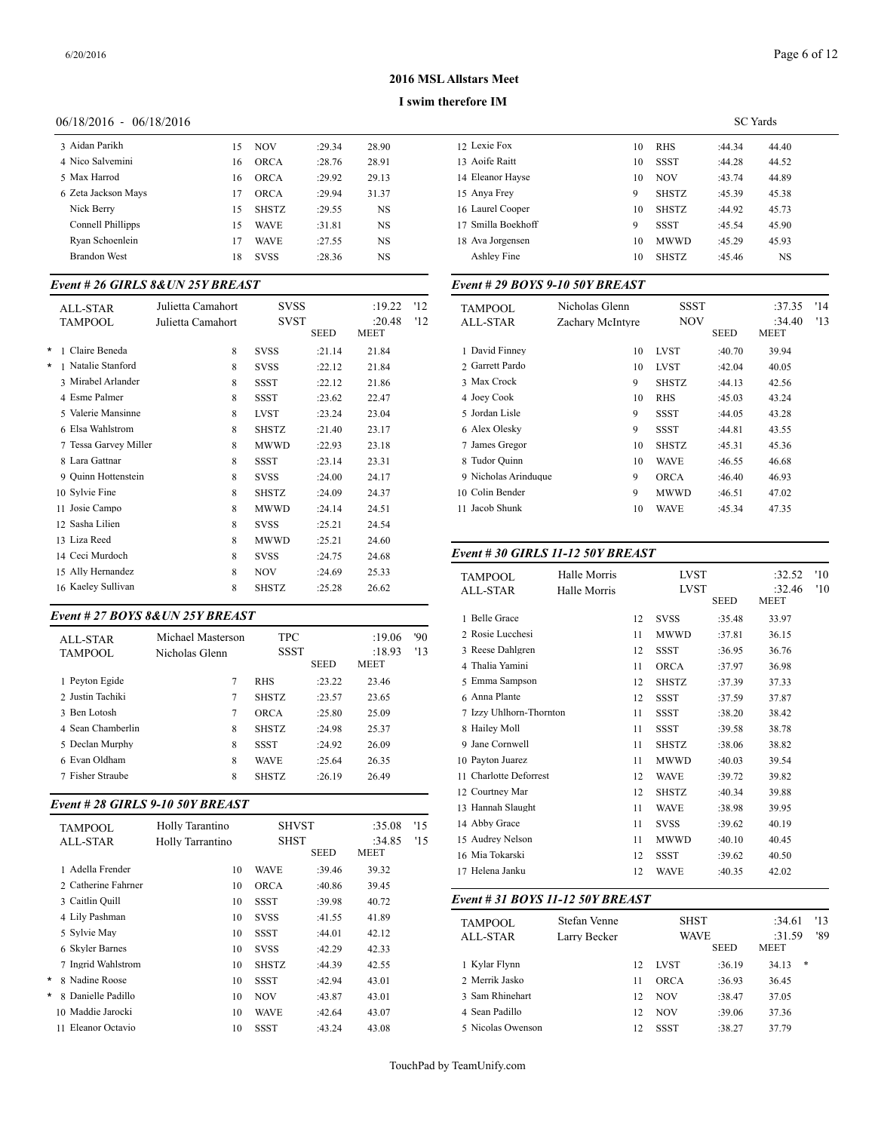#### **I swim therefore IM**

#### 06/18/2016 - 06/18/2016

| 3 Aidan Parikh      | 15 | <b>NOV</b>   | :29.34 | 28.90     | 12 Lexie  |
|---------------------|----|--------------|--------|-----------|-----------|
| 4 Nico Salvemini    | 16 | <b>ORCA</b>  | :28.76 | 28.91     | 13 Aoife  |
| 5 Max Harrod        | 16 | ORCA         | :29.92 | 29.13     | 14 Eleano |
| 6 Zeta Jackson Mays | 17 | <b>ORCA</b>  | :29.94 | 31.37     | 15 Anya l |
| Nick Berry          | 15 | <b>SHSTZ</b> | :29.55 | NS        | 16 Laurel |
| Connell Phillipps   | 15 | <b>WAVE</b>  | :31.81 | <b>NS</b> | 17 Smilla |
| Ryan Schoenlein     | 17 | <b>WAVE</b>  | :27.55 | NS.       | 18 Ava Jo |
| <b>Brandon West</b> | 18 | <b>SVSS</b>  | :28.36 | NS        | Ashley    |
|                     |    |              |        |           |           |

# *Event # 26 GIRLS 8&UN 25Y BREAST*

|   | ALL-STAR<br><b>TAMPOOL</b>    | Julietta Camahort<br>Julietta Camahort | <b>SVSS</b><br><b>SVST</b> | <b>SEED</b> | :19.22<br>:20.48<br><b>MEET</b> | '12<br>'12 | <b>TAMPOOL</b><br><b>ALL-STAR</b> |
|---|-------------------------------|----------------------------------------|----------------------------|-------------|---------------------------------|------------|-----------------------------------|
| * | Claire Beneda<br>$\mathbf{1}$ | 8                                      | <b>SVSS</b>                | :21.14      | 21.84                           |            | 1 David Finney                    |
| * | 1 Natalie Stanford            | 8                                      | <b>SVSS</b>                | :22.12      | 21.84                           |            | 2 Garrett Pardo                   |
|   | 3 Mirabel Arlander            | 8                                      | <b>SSST</b>                | :22.12      | 21.86                           |            | 3 Max Crock                       |
|   | 4 Esme Palmer                 | 8                                      | <b>SSST</b>                | :23.62      | 22.47                           |            | 4 Joey Cook                       |
|   | 5 Valerie Mansinne            | 8                                      | <b>LVST</b>                | :23.24      | 23.04                           |            | 5 Jordan Lisle                    |
|   | 6 Elsa Wahlstrom              | 8                                      | <b>SHSTZ</b>               | :21.40      | 23.17                           |            | 6 Alex Olesky                     |
|   | 7 Tessa Garvey Miller         | 8                                      | <b>MWWD</b>                | :22.93      | 23.18                           |            | 7 James Gregor                    |
|   | 8 Lara Gattnar                | 8                                      | SSST                       | : 23.14     | 23.31                           |            | 8 Tudor Quinn                     |
|   | 9 Ouinn Hottenstein           | 8                                      | <b>SVSS</b>                | :24.00      | 24.17                           |            | 9 Nicholas Arindu                 |
|   | 10 Sylvie Fine                | 8                                      | <b>SHSTZ</b>               | :24.09      | 24.37                           |            | 10 Colin Bender                   |
|   | Josie Campo<br>11             | 8                                      | <b>MWWD</b>                | :24.14      | 24.51                           |            | 11 Jacob Shunk                    |
|   | 12. Sasha Lilien              | 8                                      | <b>SVSS</b>                | :25.21      | 24.54                           |            |                                   |
|   | 13 Liza Reed                  | 8                                      | <b>MWWD</b>                | :25.21      | 24.60                           |            |                                   |
|   | 14 Ceci Murdoch               | 8                                      | <b>SVSS</b>                | :24.75      | 24.68                           |            | Event # 30 GIRI                   |
|   | 15 Ally Hernandez             | 8                                      | <b>NOV</b>                 | :24.69      | 25.33                           |            | <b>TAMPOOL</b>                    |
|   | 16 Kaeley Sullivan            | 8                                      | <b>SHSTZ</b>               | :25.28      | 26.62                           |            | <b>ALL-STAR</b>                   |
|   |                               |                                        |                            |             |                                 |            |                                   |

# *Event # 27 BOYS 8&UN 25Y BREAST*

| ALL-STAR          | Michael Masterson | <b>TPC</b>   |             | :19.06      | '90 |
|-------------------|-------------------|--------------|-------------|-------------|-----|
| <b>TAMPOOL</b>    | Nicholas Glenn    | SSST         |             | :18.93      | '13 |
|                   |                   |              | <b>SEED</b> | <b>MEET</b> |     |
| 1 Pevton Egide    |                   | <b>RHS</b>   | :23.22      | 23.46       |     |
| 2 Justin Tachiki  |                   | <b>SHSTZ</b> | :23.57      | 23.65       |     |
| 3 Ben Lotosh      | 7                 | <b>ORCA</b>  | :25.80      | 25.09       |     |
| 4 Sean Chamberlin | 8                 | <b>SHSTZ</b> | :24.98      | 25.37       |     |
| 5 Declan Murphy   | 8                 | <b>SSST</b>  | :24.92      | 26.09       |     |
| 6 Evan Oldham     | 8                 | <b>WAVE</b>  | :25.64      | 26.35       |     |
| 7 Fisher Straube  | 8                 | <b>SHSTZ</b> | :26.19      | 26.49       |     |
|                   |                   |              |             |             |     |

#### *Event # 28 GIRLS 9-10 50Y BREAST*

| <b>TAMPOOL</b><br><b>ALL-STAR</b> | Holly Tarantino<br>Holly Tarrantino | <b>SHST</b>  | <b>SHVST</b><br>SEED | :35.08<br>:34.85<br>MEET | '15<br>'15 | 14 Abby Grace<br>15 Audrey Nelson<br>16 Mia Tokarski |
|-----------------------------------|-------------------------------------|--------------|----------------------|--------------------------|------------|------------------------------------------------------|
| 1 Adella Frender                  | 10                                  | <b>WAVE</b>  | :39.46               | 39.32                    |            | 17 Helena Janku                                      |
| 2 Catherine Fahrner               | 10                                  | <b>ORCA</b>  | :40.86               | 39.45                    |            |                                                      |
| 3 Caitlin Quill                   | 10                                  | SSST         | :39.98               | 40.72                    |            | Event # 31 BOY                                       |
| 4 Lily Pashman                    | 10                                  | <b>SVSS</b>  | :41.55               | 41.89                    |            | <b>TAMPOOL</b>                                       |
| 5 Sylvie May                      | 10                                  | <b>SSST</b>  | :44.01               | 42.12                    |            | <b>ALL-STAR</b>                                      |
| 6 Skyler Barnes                   | 10                                  | <b>SVSS</b>  | :42.29               | 42.33                    |            |                                                      |
| 7 Ingrid Wahlstrom                | 10                                  | <b>SHSTZ</b> | :44.39               | 42.55                    |            | 1 Kylar Flynn                                        |
| 8 Nadine Roose<br>*               | 10                                  | <b>SSST</b>  | :42.94               | 43.01                    |            | 2 Merrik Jasko                                       |
| 8 Danielle Padillo<br>¥.          | 10                                  | <b>NOV</b>   | :43.87               | 43.01                    |            | 3 Sam Rhinehart                                      |
| 10 Maddie Jarocki                 | 10                                  | <b>WAVE</b>  | :42.64               | 43.07                    |            | 4 Sean Padillo                                       |
| 11 Eleanor Octavio                | 10                                  | SSST         | :43.24               | 43.08                    |            | 5 Nicolas Owenso                                     |

|                    |    |              | <b>SC</b> Yards |       |  |
|--------------------|----|--------------|-----------------|-------|--|
| 12 Lexie Fox       | 10 | <b>RHS</b>   | :44.34          | 44.40 |  |
| 13 Aoife Raitt     | 10 | <b>SSST</b>  | :44.28          | 44.52 |  |
| 14 Eleanor Hayse   | 10 | <b>NOV</b>   | :43.74          | 44.89 |  |
| 15 Anya Frey       | 9  | <b>SHSTZ</b> | :45.39          | 45.38 |  |
| 16 Laurel Cooper   | 10 | <b>SHSTZ</b> | :44.92          | 45.73 |  |
| 17 Smilla Boekhoff | 9  | <b>SSST</b>  | :45.54          | 45.90 |  |
| 18 Ava Jorgensen   | 10 | <b>MWWD</b>  | :45.29          | 45.93 |  |
| Ashley Fine        | 10 | <b>SHSTZ</b> | :45.46          | NS    |  |
|                    |    |              |                 |       |  |

# *Event # 29 BOYS 9-10 50Y BREAST*

| <b>TAMPOOL</b>       | Nicholas Glenn   | SSST         |             | :37.35      | '14 |
|----------------------|------------------|--------------|-------------|-------------|-----|
| ALL-STAR             | Zachary McIntyre | <b>NOV</b>   |             | :34.40      | '13 |
|                      |                  |              | <b>SEED</b> | <b>MEET</b> |     |
| 1 David Finney       | 10               | <b>LVST</b>  | :40.70      | 39.94       |     |
| 2. Garrett Pardo     | 10               | <b>LVST</b>  | :42.04      | 40.05       |     |
| 3 Max Crock          | 9                | <b>SHSTZ</b> | :44.13      | 42.56       |     |
| 4 Joev Cook          | 10               | <b>RHS</b>   | :45.03      | 43.24       |     |
| 5 Jordan Lisle       | 9                | <b>SSST</b>  | :44.05      | 43.28       |     |
| 6 Alex Olesky        | 9                | SSST         | :44.81      | 43.55       |     |
| 7 James Gregor       | 10               | <b>SHSTZ</b> | :45.31      | 45.36       |     |
| 8 Tudor Quinn        | 10               | <b>WAVE</b>  | :46.55      | 46.68       |     |
| 9 Nicholas Arinduque | 9                | <b>ORCA</b>  | :46.40      | 46.93       |     |
| 10 Colin Bender      | 9                | <b>MWWD</b>  | :46.51      | 47.02       |     |
| 11 Jacob Shunk       | 10               | <b>WAVE</b>  | :45.34      | 47.35       |     |
|                      |                  |              |             |             |     |

# *Event # 30 GIRLS 11-12 50Y BREAST*

| <b>TAMPOOL</b><br><b>ALL-STAR</b> | Halle Morris<br>Halle Morris |    | <b>LVST</b><br><b>LVST</b> | <b>SEED</b> | :32.52<br>:32.46<br><b>MEET</b> | '10<br>'10 |  |
|-----------------------------------|------------------------------|----|----------------------------|-------------|---------------------------------|------------|--|
| 1 Belle Grace                     |                              | 12 | <b>SVSS</b>                | :35.48      | 33.97                           |            |  |
| 2 Rosie Lucchesi                  |                              | 11 | <b>MWWD</b>                | :37.81      | 36.15                           |            |  |
| 3 Reese Dahlgren                  |                              | 12 | <b>SSST</b>                | :36.95      | 36.76                           |            |  |
| 4 Thalia Yamini                   |                              | 11 | <b>ORCA</b>                | :37.97      | 36.98                           |            |  |
| 5 Emma Sampson                    |                              | 12 | <b>SHSTZ</b>               | :37.39      | 37.33                           |            |  |
| 6 Anna Plante                     |                              | 12 | <b>SSST</b>                | :37.59      | 37.87                           |            |  |
| 7 Izzy Uhlhorn-Thornton           |                              | 11 | <b>SSST</b>                | :38.20      | 38.42                           |            |  |
| 8 Hailey Moll                     |                              | 11 | <b>SSST</b>                | :39.58      | 38.78                           |            |  |
| 9 Jane Cornwell                   |                              | 11 | <b>SHSTZ</b>               | :38.06      | 38.82                           |            |  |
| 10 Payton Juarez                  |                              | 11 | <b>MWWD</b>                | :40.03      | 39.54                           |            |  |
| 11 Charlotte Deforrest            |                              | 12 | <b>WAVE</b>                | :39.72      | 39.82                           |            |  |
| 12 Courtney Mar                   |                              | 12 | <b>SHSTZ</b>               | :40.34      | 39.88                           |            |  |
| 13 Hannah Slaught                 |                              | 11 | <b>WAVE</b>                | :38.98      | 39.95                           |            |  |
| 14 Abby Grace                     |                              | 11 | <b>SVSS</b>                | :39.62      | 40.19                           |            |  |
| 15 Audrey Nelson                  |                              | 11 | <b>MWWD</b>                | :40.10      | 40.45                           |            |  |
| 16 Mia Tokarski                   |                              | 12 | <b>SSST</b>                | :39.62      | 40.50                           |            |  |
| 17 Helena Janku                   |                              | 12 | <b>WAVE</b>                | :40.35      | 42.02                           |            |  |
|                                   |                              |    |                            |             |                                 |            |  |

#### *Event # 31 BOYS 11-12 50Y BREAST*

| TAMPOOL<br>ALL-STAR | Stefan Venne<br>Larry Becker |    | <b>SHST</b><br><b>WAVE</b> | <b>SEED</b> | :34.61<br>:31.59<br><b>MEET</b> | '13<br>'89 |  |
|---------------------|------------------------------|----|----------------------------|-------------|---------------------------------|------------|--|
| 1 Kylar Flynn       |                              | 12 | <b>LVST</b>                | :36.19      | ∗<br>34.13                      |            |  |
| 2 Merrik Jasko      |                              | 11 | ORCA                       | :36.93      | 36.45                           |            |  |
| 3 Sam Rhinehart     |                              | 12 | <b>NOV</b>                 | :38.47      | 37.05                           |            |  |
| 4 Sean Padillo      |                              | 12 | <b>NOV</b>                 | :39.06      | 37.36                           |            |  |
| 5 Nicolas Owenson   |                              | 12 | <b>SSST</b>                | :38.27      | 37.79                           |            |  |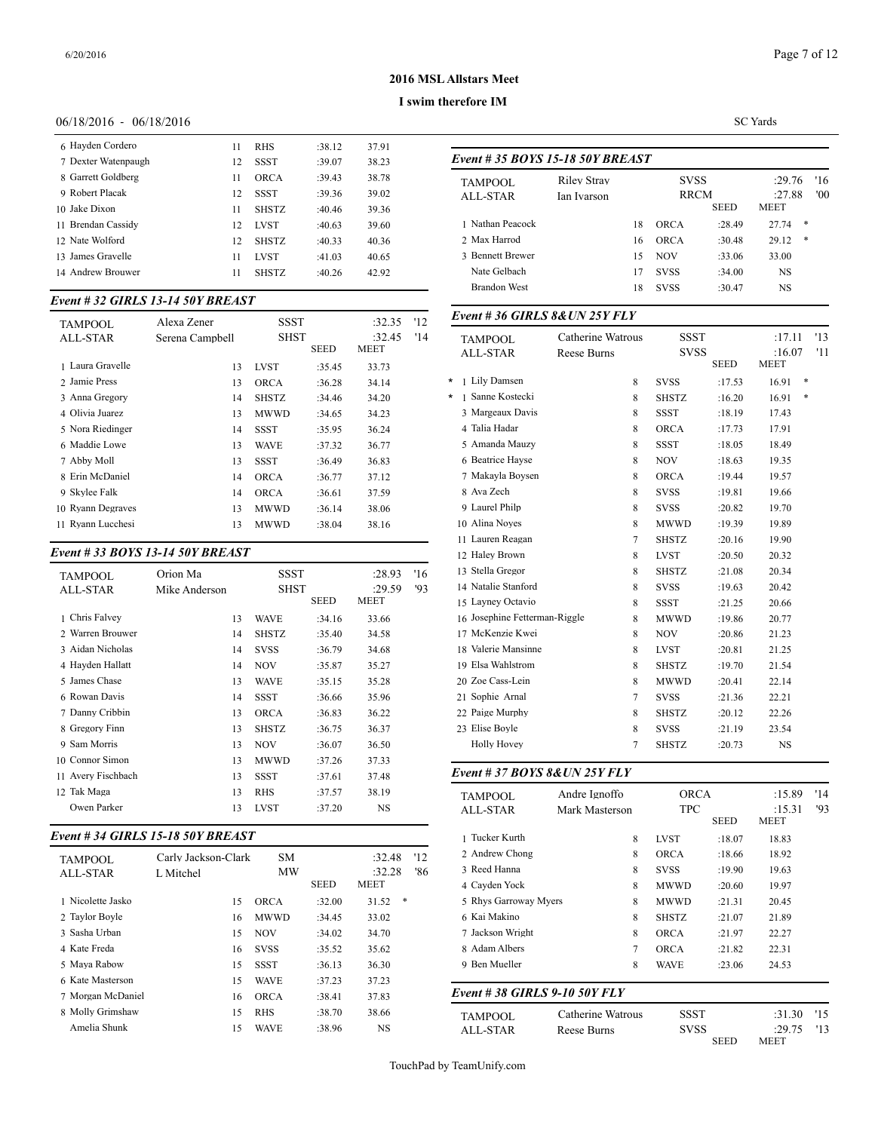#### **I swim therefore IM**

# 06/18/2016 - 06/18/2016

| 6 Hayden Cordero    | 11 | <b>RHS</b>   | :38.12 | 37.91 |            |
|---------------------|----|--------------|--------|-------|------------|
| 7 Dexter Watenpaugh | 12 | <b>SSST</b>  | :39.07 | 38.23 | Event      |
| 8 Garrett Goldberg  | 11 | ORCA         | :39.43 | 38.78 | <b>TAM</b> |
| 9 Robert Placak     | 12 | SSST         | :39.36 | 39.02 | ALL        |
| 10 Jake Dixon       | 11 | <b>SHSTZ</b> | :40.46 | 39.36 |            |
| 11 Brendan Cassidy  | 12 | <b>LVST</b>  | :40.63 | 39.60 | 1 Nat      |
| 12 Nate Wolford     | 12 | <b>SHSTZ</b> | :40.33 | 40.36 | 2 Ma       |
| 13 James Gravelle   | 11 | <b>LVST</b>  | :41.03 | 40.65 | 3 Ber      |
| 14 Andrew Brouwer   | 11 | <b>SHSTZ</b> | :40.26 | 42.92 | Nat        |
|                     |    |              |        |       |            |

# *Event # 32 GIRLS 13-14 50Y BREAST*

| <b>TAMPOOL</b>    | Alexa Zener     | <b>SSST</b>  |             | :32.35         | '12 | Event #36 GIRI               |  |  |
|-------------------|-----------------|--------------|-------------|----------------|-----|------------------------------|--|--|
| ALL-STAR          | Serena Campbell | <b>SHST</b>  | <b>SEED</b> | :32.45<br>MEET | '14 | <b>TAMPOOL</b><br>ALL-STAR   |  |  |
| 1 Laura Gravelle  | 13              | <b>LVST</b>  | :35.45      | 33.73          |     |                              |  |  |
| 2 Jamie Press     | 13              | <b>ORCA</b>  | :36.28      | 34.14          |     | 1 Lily Damsen<br>$^\star$    |  |  |
| 3 Anna Gregory    | 14              | <b>SHSTZ</b> | :34.46      | 34.20          |     | 1 Sanne Kostecki<br>$^\star$ |  |  |
| 4 Olivia Juarez   | 13              | <b>MWWD</b>  | :34.65      | 34.23          |     | 3 Margeaux Davis             |  |  |
| 5 Nora Riedinger  | 14              | SSST         | :35.95      | 36.24          |     | 4 Talia Hadar                |  |  |
| 6 Maddie Lowe     | 13              | WAVE         | :37.32      | 36.77          |     | 5 Amanda Mauzy               |  |  |
| 7 Abby Moll       | 13              | SSST         | :36.49      | 36.83          |     | 6 Beatrice Hayse             |  |  |
| 8 Erin McDaniel   | 14              | <b>ORCA</b>  | :36.77      | 37.12          |     | 7 Makavla Bovser             |  |  |
| 9 Skylee Falk     | 14              | <b>ORCA</b>  | :36.61      | 37.59          |     | 8 Ava Zech                   |  |  |
| 10 Ryann Degraves | 13              | MWWD         | :36.14      | 38.06          |     | 9 Laurel Philp               |  |  |
| 11 Ryann Lucchesi | 13              | <b>MWWD</b>  | :38.04      | 38.16          |     | 10 Alina Noves               |  |  |
|                   |                 |              |             |                |     |                              |  |  |

# *Event # 33 BOYS 13-14 50Y BREAST*

| TAMPOOL            | Orion Ma      | SSST<br>SHST |             | :28.93 | '16 | 13 Stella Gregor    |
|--------------------|---------------|--------------|-------------|--------|-----|---------------------|
| ALL-STAR           | Mike Anderson |              |             | :29.59 | '93 | 14 Natalie Stanford |
|                    |               |              | <b>SEED</b> | MEET   |     | 15 Lavney Octavio   |
| 1 Chris Falvey     | 13            | <b>WAVE</b>  | :34.16      | 33.66  |     | 16 Josephine Fetter |
| 2 Warren Brouwer   | 14            | <b>SHSTZ</b> | :35.40      | 34.58  |     | 17 McKenzie Kwei    |
| 3 Aidan Nicholas   | 14            | <b>SVSS</b>  | :36.79      | 34.68  |     | 18 Valerie Mansinn  |
| 4 Hayden Hallatt   | 14            | <b>NOV</b>   | :35.87      | 35.27  |     | 19 Elsa Wahlstrom   |
| 5 James Chase      | 13            | <b>WAVE</b>  | :35.15      | 35.28  |     | 20 Zoe Cass-Lein    |
| 6 Rowan Davis      | 14            | <b>SSST</b>  | :36.66      | 35.96  |     | 21 Sophie Arnal     |
| 7 Danny Cribbin    | 13            | <b>ORCA</b>  | :36.83      | 36.22  |     | 22 Paige Murphy     |
| 8 Gregory Finn     | 13            | <b>SHSTZ</b> | :36.75      | 36.37  |     | 23 Elise Boyle      |
| 9 Sam Morris       | 13            | NOV          | :36.07      | 36.50  |     | <b>Holly Hovey</b>  |
| 10 Connor Simon    | 13            | <b>MWWD</b>  | :37.26      | 37.33  |     |                     |
| 11 Avery Fischbach | 13            | <b>SSST</b>  | :37.61      | 37.48  |     | Event # $37$ BOY.   |
| 12 Tak Maga        | 13            | <b>RHS</b>   | :37.57      | 38.19  |     | <b>TAMPOOL</b>      |
| Owen Parker        | 13            | <b>LVST</b>  | :37.20      | NS     |     | ALL-STAR            |
|                    |               |              |             |        |     |                     |

# *Event # 34 GIRLS 15-18 50Y BREAST*

| <b>TAMPOOL</b>    | Carly Jackson-Clark | <b>SM</b>   |             | :32.48<br>:32.28 | 2 Andrew Chong<br>'12<br>3 Reed Hanna |
|-------------------|---------------------|-------------|-------------|------------------|---------------------------------------|
| ALL-STAR          | L Mitchel           | <b>MW</b>   | <b>SEED</b> | MEET             | '86<br>4 Cavden Yock                  |
| 1 Nicolette Jasko | 15                  | ORCA        | :32.00      | *<br>31.52       | 5 Rhys Garroway                       |
| 2 Taylor Boyle    | 16                  | <b>MWWD</b> | :34.45      | 33.02            | 6 Kai Makino                          |
| 3 Sasha Urban     | 15                  | <b>NOV</b>  | :34.02      | 34.70            | 7 Jackson Wright                      |
| 4 Kate Freda      | 16                  | <b>SVSS</b> | :35.52      | 35.62            | 8 Adam Albers                         |
| 5 Maya Rabow      | 15                  | <b>SSST</b> | :36.13      | 36.30            | 9 Ben Mueller                         |
| 6 Kate Masterson  | 15                  | <b>WAVE</b> | :37.23      | 37.23            |                                       |
| 7 Morgan McDaniel | 16                  | <b>ORCA</b> | :38.41      | 37.83            | Event #38 GIRI                        |
| 8 Molly Grimshaw  | 15                  | <b>RHS</b>  | :38.70      | 38.66            | <b>TAMPOOL</b>                        |
| Amelia Shunk      | 15                  | <b>WAVE</b> | :38.96      | NS               | <b>ALL-STAR</b>                       |

|   | Event # 35 BOYS 15-18 50Y BREAST  |                                   |                |                            |             |                                 |            |
|---|-----------------------------------|-----------------------------------|----------------|----------------------------|-------------|---------------------------------|------------|
|   | <b>TAMPOOL</b><br><b>ALL-STAR</b> | <b>Riley Stray</b><br>Ian Ivarson |                | <b>SVSS</b><br><b>RRCM</b> | <b>SEED</b> | :29.76<br>:27.88<br><b>MEET</b> | '16<br>'00 |
|   | 1 Nathan Peacock                  |                                   | 18             | ORCA                       | :28.49      | 27.74<br>*                      |            |
|   | 2 Max Harrod                      |                                   | 16             | <b>ORCA</b>                | :30.48      | *<br>29.12                      |            |
|   | 3 Bennett Brewer                  |                                   | 15             | <b>NOV</b>                 | :33.06      | 33.00                           |            |
|   | Nate Gelbach                      |                                   | 17             | <b>SVSS</b>                | :34.00      | <b>NS</b>                       |            |
|   | <b>Brandon West</b>               |                                   | 18             | <b>SVSS</b>                | :30.47      | NS                              |            |
|   | Event # 36 GIRLS $8&UN 25Y FLY$   |                                   |                |                            |             |                                 |            |
|   | <b>TAMPOOL</b>                    | Catherine Watrous                 |                | <b>SSST</b>                |             | :17.11                          | '13        |
|   | <b>ALL-STAR</b>                   | Reese Burns                       |                | svss                       | <b>SEED</b> | :16.07<br>MEET                  | '11        |
| ¥ | 1 Lily Damsen                     |                                   | 8              | <b>SVSS</b>                | :17.53      | *<br>16.91                      |            |
| × | 1 Sanne Kostecki                  |                                   | 8              | <b>SHSTZ</b>               | :16.20      | 16.91<br>∗                      |            |
|   | 3 Margeaux Davis                  |                                   | 8              | <b>SSST</b>                | :18.19      | 17.43                           |            |
|   | 4 Talia Hadar                     |                                   | 8              | <b>ORCA</b>                | :17.73      | 17.91                           |            |
|   | 5 Amanda Mauzy                    |                                   | 8              | <b>SSST</b>                | :18.05      | 18.49                           |            |
|   | 6 Beatrice Hayse                  |                                   | 8              | <b>NOV</b>                 | :18.63      | 19.35                           |            |
|   | 7 Makayla Boysen                  |                                   | 8              | <b>ORCA</b>                | :19.44      | 19.57                           |            |
|   | 8 Ava Zech                        |                                   | 8              | <b>SVSS</b>                | :19.81      | 19.66                           |            |
|   | 9 Laurel Philp                    |                                   | 8              | <b>SVSS</b>                | :20.82      | 19.70                           |            |
|   | 10 Alina Noyes                    |                                   | 8              | <b>MWWD</b>                | :19.39      | 19.89                           |            |
|   | 11 Lauren Reagan                  |                                   | 7              | <b>SHSTZ</b>               | :20.16      | 19.90                           |            |
|   | 12 Haley Brown                    |                                   | 8              | <b>LVST</b>                | :20.50      | 20.32                           |            |
|   | 13 Stella Gregor                  |                                   | 8              | <b>SHSTZ</b>               | :21.08      | 20.34                           |            |
|   | 14 Natalie Stanford               |                                   | 8              | <b>SVSS</b>                | :19.63      | 20.42                           |            |
|   | 15 Layney Octavio                 |                                   | 8              | SSST                       | :21.25      | 20.66                           |            |
|   | 16 Josephine Fetterman-Riggle     |                                   | 8              | MWWD                       | :19.86      | 20.77                           |            |
|   | 17 McKenzie Kwei                  |                                   | 8              | <b>NOV</b>                 | :20.86      | 21.23                           |            |
|   | 18 Valerie Mansinne               |                                   | 8              | <b>LVST</b>                | :20.81      | 21.25                           |            |
|   | 19 Elsa Wahlstrom                 |                                   | 8              | <b>SHSTZ</b>               | :19.70      | 21.54                           |            |
|   | 20 Zoe Cass-Lein                  |                                   | 8              | <b>MWWD</b>                | :20.41      | 22.14                           |            |
|   | 21 Sophie Arnal                   |                                   | $\tau$         | <b>SVSS</b>                | :21.36      | 22.21                           |            |
|   | 22 Paige Murphy                   |                                   | 8              | <b>SHSTZ</b>               | :20.12      | 22.26                           |            |
|   | 23 Elise Boyle                    |                                   | 8              | <b>SVSS</b>                | :21.19      | 23.54                           |            |
|   | <b>Holly Hovey</b>                |                                   | $\overline{7}$ | <b>SHSTZ</b>               | :20.73      | NS                              |            |

| <b>TAMPOOL</b>                | Andre Ignoffo     |              | <b>ORCA</b> |                       | '14 |
|-------------------------------|-------------------|--------------|-------------|-----------------------|-----|
| ALL-STAR                      | Mark Masterson    | <b>TPC</b>   | <b>SEED</b> | :15.31<br><b>MEET</b> | '93 |
| 1 Tucker Kurth                | 8                 | <b>LVST</b>  | :18.07      | 18.83                 |     |
| 2 Andrew Chong                | 8                 | <b>ORCA</b>  | :18.66      | 18.92                 |     |
| 3 Reed Hanna                  | 8                 | <b>SVSS</b>  | :19.90      | 19.63                 |     |
| 4 Cayden Yock                 | 8                 | <b>MWWD</b>  | :20.60      | 19.97                 |     |
| 5 Rhys Garroway Myers         | 8                 | <b>MWWD</b>  | :21.31      | 20.45                 |     |
| 6 Kai Makino                  | 8                 | <b>SHSTZ</b> | :21.07      | 21.89                 |     |
| 7 Jackson Wright              | 8                 | <b>ORCA</b>  | :21.97      | 22.27                 |     |
| 8 Adam Albers                 | 7                 | <b>ORCA</b>  | :21.82      | 22.31                 |     |
| 9 Ben Mueller                 | 8                 | <b>WAVE</b>  | :23.06      | 24.53                 |     |
| Event # 38 GIRLS 9-10 50Y FLY |                   |              |             |                       |     |
| <b>TAMPOOL</b>                | Catherine Watrous | <b>SSST</b>  |             | :31.30                | '15 |
| <b>ALL-STAR</b>               | Reese Burns       | <b>SVSS</b>  | <b>SEED</b> | :29.75<br>MEET        | '13 |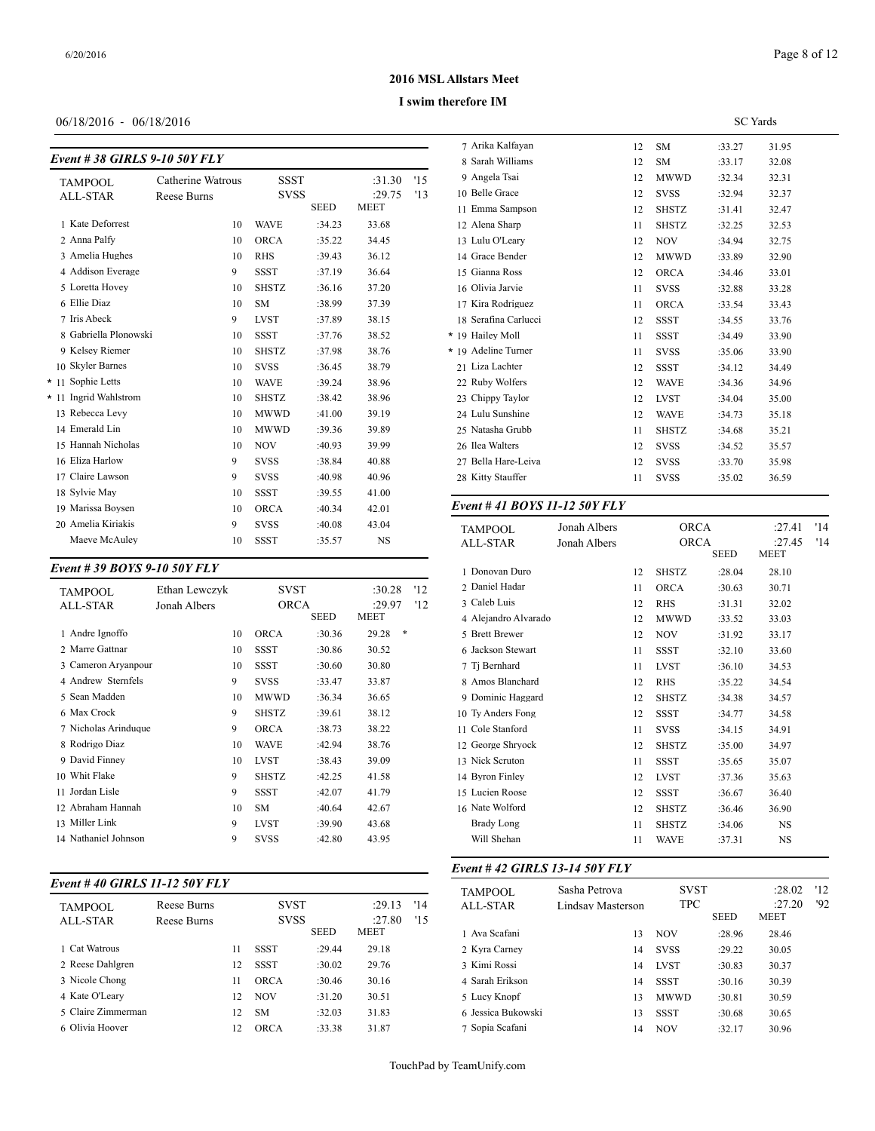# 06/18/2016 - 06/18/2016

#### *Event # 38 GIRLS 9-10 50Y FLY*

|      |                       |                   |              |             |             |     | 8 Sarah Williams      |
|------|-----------------------|-------------------|--------------|-------------|-------------|-----|-----------------------|
|      | <b>TAMPOOL</b>        | Catherine Watrous | <b>SSST</b>  |             | :31.30      | '15 | 9 Angela Tsai         |
|      | <b>ALL-STAR</b>       | Reese Burns       | <b>SVSS</b>  |             | :29.75      | '13 | 10 Belle Grace        |
|      |                       |                   |              | <b>SEED</b> | <b>MEET</b> |     | 11 Emma Sampson       |
|      | 1 Kate Deforrest      | 10                | <b>WAVE</b>  | :34.23      | 33.68       |     | 12 Alena Sharp        |
|      | 2 Anna Palfy          | 10                | <b>ORCA</b>  | :35.22      | 34.45       |     | 13 Lulu O'Leary       |
|      | 3 Amelia Hughes       | 10                | <b>RHS</b>   | :39.43      | 36.12       |     | 14 Grace Bender       |
|      | 4 Addison Everage     | 9                 | <b>SSST</b>  | :37.19      | 36.64       |     | 15 Gianna Ross        |
|      | 5 Loretta Hovey       | 10                | <b>SHSTZ</b> | :36.16      | 37.20       |     | 16 Olivia Jarvie      |
|      | 6 Ellie Diaz          | 10                | <b>SM</b>    | :38.99      | 37.39       |     | 17 Kira Rodriguez     |
|      | 7 Iris Abeck          | 9                 | <b>LVST</b>  | :37.89      | 38.15       |     | 18 Serafina Carluco   |
|      | 8 Gabriella Plonowski | 10                | <b>SSST</b>  | :37.76      | 38.52       |     | * 19 Hailey Moll      |
|      | 9 Kelsey Riemer       | 10                | <b>SHSTZ</b> | :37.98      | 38.76       |     | * 19 Adeline Turner   |
|      | 10 Skyler Barnes      | 10                | <b>SVSS</b>  | :36.45      | 38.79       |     | 21 Liza Lachter       |
| * 11 | Sophie Letts          | 10                | <b>WAVE</b>  | :39.24      | 38.96       |     | 22 Ruby Wolfers       |
|      | * 11 Ingrid Wahlstrom | 10                | <b>SHSTZ</b> | :38.42      | 38.96       |     | 23 Chippy Taylor      |
|      | 13 Rebecca Levy       | 10                | <b>MWWD</b>  | :41.00      | 39.19       |     | 24 Lulu Sunshine      |
|      | 14 Emerald Lin        | 10                | <b>MWWD</b>  | :39.36      | 39.89       |     | 25 Natasha Grubb      |
|      | 15 Hannah Nicholas    | 10                | <b>NOV</b>   | :40.93      | 39.99       |     | 26 Ilea Walters       |
|      | 16 Eliza Harlow       | 9                 | <b>SVSS</b>  | :38.84      | 40.88       |     | 27 Bella Hare-Leiv    |
|      | 17 Claire Lawson      | 9                 | <b>SVSS</b>  | :40.98      | 40.96       |     | 28 Kitty Stauffer     |
|      | 18 Sylvie May         | 10                | <b>SSST</b>  | :39.55      | 41.00       |     |                       |
|      | 19 Marissa Boysen     | 10                | <b>ORCA</b>  | :40.34      | 42.01       |     | Event # 41 <b>BOY</b> |
|      | 20 Amelia Kiriakis    | 9                 | <b>SVSS</b>  | :40.08      | 43.04       |     | <b>TAMPOOL</b>        |
|      | Maeve McAuley         | 10                | <b>SSST</b>  | :35.57      | NS          |     | ALL-STAR              |

#### *Event # 39 BOYS 9-10 50Y FLY*

| <b>TAMPOOL</b>       | Ethan Lewczyk |    | <b>SVST</b>  |        | :30.28     | 12  | 2 Daniel Hadar    |
|----------------------|---------------|----|--------------|--------|------------|-----|-------------------|
| ALL-STAR             | Jonah Albers  |    | <b>ORCA</b>  |        | :29.97     | '12 | 3 Caleb Luis      |
|                      |               |    |              | SEED   | MEET       |     | 4 Alejandro Alvar |
| 1 Andre Ignoffo      |               | 10 | <b>ORCA</b>  | :30.36 | ∗<br>29.28 |     | 5 Brett Brewer    |
| 2 Marre Gattnar      |               | 10 | <b>SSST</b>  | :30.86 | 30.52      |     | 6 Jackson Stewart |
| 3 Cameron Aryanpour  |               | 10 | <b>SSST</b>  | :30.60 | 30.80      |     | 7 Ti Bernhard     |
| 4 Andrew Sternfels   |               | 9  | <b>SVSS</b>  | :33.47 | 33.87      |     | 8 Amos Blanchard  |
| 5 Sean Madden        |               | 10 | <b>MWWD</b>  | :36.34 | 36.65      |     | 9 Dominic Haggar  |
| 6 Max Crock          |               | 9  | <b>SHSTZ</b> | :39.61 | 38.12      |     | 10 Ty Anders Fong |
| 7 Nicholas Arinduque |               | 9  | <b>ORCA</b>  | :38.73 | 38.22      |     | 11 Cole Stanford  |
| 8 Rodrigo Diaz       |               | 10 | <b>WAVE</b>  | :42.94 | 38.76      |     | 12 George Shryock |
| 9 David Finney       |               | 10 | <b>LVST</b>  | :38.43 | 39.09      |     | 13 Nick Scruton   |
| 10 Whit Flake        |               | 9  | <b>SHSTZ</b> | :42.25 | 41.58      |     | 14 Byron Finley   |
| 11 Jordan Lisle      |               | 9  | <b>SSST</b>  | :42.07 | 41.79      |     | 15 Lucien Roose   |
| 12 Abraham Hannah    |               | 10 | <b>SM</b>    | :40.64 | 42.67      |     | 16 Nate Wolford   |
| 13 Miller Link       |               | 9  | <b>LVST</b>  | :39.90 | 43.68      |     | Brady Long        |
| 14 Nathaniel Johnson |               | 9  | <b>SVSS</b>  | :42.80 | 43.95      |     | Will Shehan       |
|                      |               |    |              |        |            |     |                   |

# *Event # 40 GIRLS 11-12 50Y FLY*

|                    |             |    |             |             |             |     | <b>IAMPOOL</b>    |
|--------------------|-------------|----|-------------|-------------|-------------|-----|-------------------|
| <b>TAMPOOL</b>     | Reese Burns |    | <b>SVST</b> |             | :29.13      | '14 | ALL-STAR          |
| ALL-STAR           | Reese Burns |    | <b>SVSS</b> |             | :27.80      | '15 |                   |
|                    |             |    |             | <b>SEED</b> | <b>MEET</b> |     | 1 Ava Scafani     |
| 1 Cat Watrous      |             | 11 | SSST        | :29.44      | 29.18       |     | 2 Kyra Carney     |
| 2 Reese Dahlgren   |             | 12 | SSST        | :30.02      | 29.76       |     | 3 Kimi Rossi      |
| 3 Nicole Chong     |             | 11 | <b>ORCA</b> | :30.46      | 30.16       |     | 4 Sarah Erikson   |
| 4 Kate O'Leary     |             | 12 | <b>NOV</b>  | :31.20      | 30.51       |     | 5 Lucy Knopf      |
| 5 Claire Zimmerman |             | 12 | <b>SM</b>   | :32.03      | 31.83       |     | 6 Jessica Bukowsl |
| 6 Olivia Hoover    |             | 12 | ORCA        | :33.38      | 31.87       |     | 7 Sopia Scafani   |
|                    |             |    |             |             |             |     |                   |

# **2016 MSL Allstars Meet**

#### **I swim therefore IM**

|                      |    |              | <b>SC</b> Yards |       |
|----------------------|----|--------------|-----------------|-------|
| 7 Arika Kalfayan     | 12 | <b>SM</b>    | :33.27          | 31.95 |
| 8 Sarah Williams     | 12 | <b>SM</b>    | :33.17          | 32.08 |
| 9 Angela Tsai        | 12 | <b>MWWD</b>  | :32.34          | 32.31 |
| 10 Belle Grace       | 12 | <b>SVSS</b>  | :32.94          | 32.37 |
| 11 Emma Sampson      | 12 | <b>SHSTZ</b> | :31.41          | 32.47 |
| 12 Alena Sharp       | 11 | <b>SHSTZ</b> | :32.25          | 32.53 |
| 13 Lulu O'Leary      | 12 | <b>NOV</b>   | :34.94          | 32.75 |
| 14 Grace Bender      | 12 | <b>MWWD</b>  | :33.89          | 32.90 |
| 15 Gianna Ross       | 12 | <b>ORCA</b>  | :34.46          | 33.01 |
| 16 Olivia Jarvie     | 11 | <b>SVSS</b>  | :32.88          | 33.28 |
| 17 Kira Rodriguez    | 11 | <b>ORCA</b>  | :33.54          | 33.43 |
| 18 Serafina Carlucci | 12 | <b>SSST</b>  | :34.55          | 33.76 |
| * 19 Hailey Moll     | 11 | <b>SSST</b>  | :34.49          | 33.90 |
| * 19 Adeline Turner  | 11 | <b>SVSS</b>  | :35.06          | 33.90 |
| 21 Liza Lachter      | 12 | <b>SSST</b>  | :34.12          | 34.49 |
| 22 Ruby Wolfers      | 12 | <b>WAVE</b>  | :34.36          | 34.96 |
| 23 Chippy Taylor     | 12 | <b>LVST</b>  | :34.04          | 35.00 |
| 24 Lulu Sunshine     | 12 | <b>WAVE</b>  | :34.73          | 35.18 |
| 25 Natasha Grubb     | 11 | <b>SHSTZ</b> | :34.68          | 35.21 |
| 26 Ilea Walters      | 12 | <b>SVSS</b>  | :34.52          | 35.57 |
| 27 Bella Hare-Leiva  | 12 | <b>SVSS</b>  | :33.70          | 35.98 |
| 28 Kitty Stauffer    | 11 | <b>SVSS</b>  | :35.02          | 36.59 |
|                      |    |              |                 |       |

# *Event # 41 BOYS 11-12 50Y FLY*

| <b>TAMPOOL</b><br><b>ALL-STAR</b> | Jonah Albers<br>Jonah Albers |    | ORCA<br><b>ORCA</b> | <b>SEED</b> | :27.41<br>:27.45<br><b>MEET</b> | '14<br>'14 |
|-----------------------------------|------------------------------|----|---------------------|-------------|---------------------------------|------------|
| 1 Donovan Duro                    |                              | 12 | <b>SHSTZ</b>        | :28.04      | 28.10                           |            |
| 2 Daniel Hadar                    |                              | 11 | <b>ORCA</b>         | :30.63      | 30.71                           |            |
| 3 Caleb Luis                      |                              | 12 | <b>RHS</b>          | :31.31      | 32.02                           |            |
| 4 Alejandro Alvarado              |                              | 12 | <b>MWWD</b>         | :33.52      | 33.03                           |            |
| 5 Brett Brewer                    |                              | 12 | <b>NOV</b>          | :31.92      | 33.17                           |            |
| 6 Jackson Stewart                 |                              | 11 | <b>SSST</b>         | :32.10      | 33.60                           |            |
| 7 Tj Bernhard                     |                              | 11 | <b>LVST</b>         | :36.10      | 34.53                           |            |
| 8 Amos Blanchard                  |                              | 12 | <b>RHS</b>          | :35.22      | 34.54                           |            |
| 9 Dominic Haggard                 |                              | 12 | <b>SHSTZ</b>        | :34.38      | 34.57                           |            |
| 10 Ty Anders Fong                 |                              | 12 | <b>SSST</b>         | :34.77      | 34.58                           |            |
| 11 Cole Stanford                  |                              | 11 | <b>SVSS</b>         | :34.15      | 34.91                           |            |
| 12 George Shryock                 |                              | 12 | <b>SHSTZ</b>        | :35.00      | 34.97                           |            |
| 13 Nick Scruton                   |                              | 11 | <b>SSST</b>         | :35.65      | 35.07                           |            |
| 14 Byron Finley                   |                              | 12 | <b>LVST</b>         | :37.36      | 35.63                           |            |
| 15 Lucien Roose                   |                              | 12 | <b>SSST</b>         | :36.67      | 36.40                           |            |
| 16 Nate Wolford                   |                              | 12 | <b>SHSTZ</b>        | :36.46      | 36.90                           |            |
| <b>Brady Long</b>                 |                              | 11 | <b>SHSTZ</b>        | :34.06      | <b>NS</b>                       |            |
| Will Shehan                       |                              | 11 | <b>WAVE</b>         | :37.31      | <b>NS</b>                       |            |
|                                   |                              |    |                     |             |                                 |            |

# *Event # 42 GIRLS 13-14 50Y FLY*

| <b>TAMPOOL</b>     | Sasha Petrova     | <b>SVST</b>               |        | :28.02                | 12 |
|--------------------|-------------------|---------------------------|--------|-----------------------|----|
| ALL-STAR           | Lindsay Masterson | <b>TPC</b><br><b>SEED</b> |        | :27.20<br><b>MEET</b> | 92 |
| 1 Ava Scafani      | 13                | <b>NOV</b>                | :28.96 | 28.46                 |    |
| 2 Kyra Carney      | 14                | <b>SVSS</b>               | :29.22 | 30.05                 |    |
| 3 Kimi Rossi       | 14                | <b>LVST</b>               | :30.83 | 30.37                 |    |
| 4 Sarah Erikson    | 14                | <b>SSST</b>               | :30.16 | 30.39                 |    |
| 5 Lucy Knopf       | 13                | <b>MWWD</b>               | :30.81 | 30.59                 |    |
| 6 Jessica Bukowski | 13                | <b>SSST</b>               | :30.68 | 30.65                 |    |
| 7 Sopia Scafani    | 14                | <b>NOV</b>                | :32.17 | 30.96                 |    |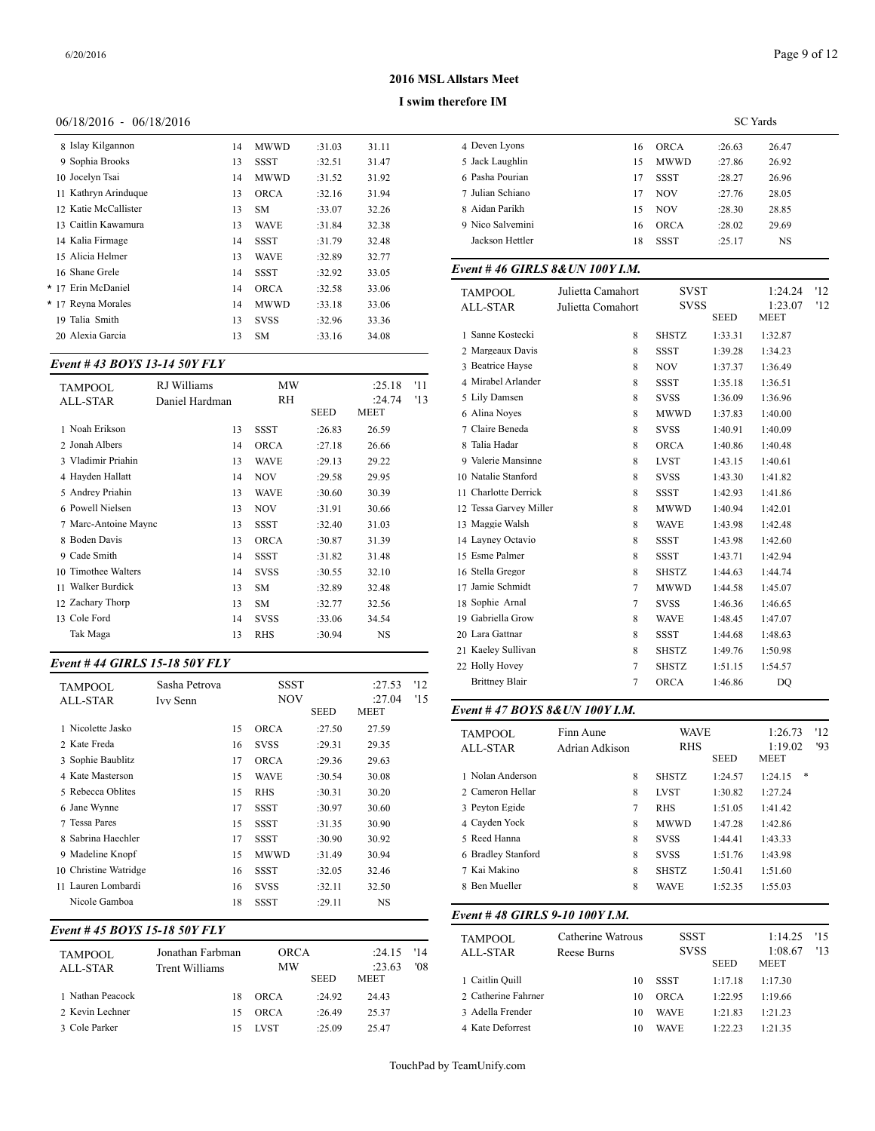#### **I swim therefore IM**

#### 06/18/2016 - 06/18/2016

| 8 Islay Kilgannon    | 14 | <b>MWWD</b> | :31.03 | 31.11 | 4 Dev      |
|----------------------|----|-------------|--------|-------|------------|
| 9 Sophia Brooks      | 13 | SSST        | :32.51 | 31.47 | 5 Jacl     |
| 10 Jocelyn Tsai      | 14 | <b>MWWD</b> | :31.52 | 31.92 | 6 Pas      |
| 11 Kathryn Arinduque | 13 | <b>ORCA</b> | :32.16 | 31.94 | 7 Juli     |
| 12 Katie McCallister | 13 | <b>SM</b>   | :33.07 | 32.26 | 8 Aid      |
| 13 Caitlin Kawamura  | 13 | <b>WAVE</b> | :31.84 | 32.38 | 9 Nic      |
| 14 Kalia Firmage     | 14 | SSST        | :31.79 | 32.48 | Jacl       |
| 15 Alicia Helmer     | 13 | <b>WAVE</b> | :32.89 | 32.77 |            |
| 16 Shane Grele       | 14 | SSST        | :32.92 | 33.05 | Event      |
| * 17 Erin McDaniel   | 14 | <b>ORCA</b> | :32.58 | 33.06 | <b>TAM</b> |
| * 17 Reyna Morales   | 14 | MWWD        | :33.18 | 33.06 | ALL-       |
| 19 Talia Smith       | 13 | <b>SVSS</b> | :32.96 | 33.36 |            |
| 20 Alexia Garcia     | 13 | <b>SM</b>   | :33.16 | 34.08 | San        |
|                      |    |             |        |       |            |

# *Event # 43 BOYS 13-14 50Y FLY*

| TAMPOOL              | RJ Williams    | MW          |             | :25.18 | '11 | 4 Mirabel Arlande   |
|----------------------|----------------|-------------|-------------|--------|-----|---------------------|
| <b>ALL-STAR</b>      | Daniel Hardman | RH          |             | :24.74 | '13 | 5 Lily Damsen       |
|                      |                |             | <b>SEED</b> | MEET   |     | 6 Alina Noves       |
| 1 Noah Erikson       | 13             | SSST        | :26.83      | 26.59  |     | 7 Claire Beneda     |
| 2 Jonah Albers       | 14             | <b>ORCA</b> | :27.18      | 26.66  |     | 8 Talia Hadar       |
| 3 Vladimir Priahin   | 13             | <b>WAVE</b> | :29.13      | 29.22  |     | 9 Valerie Mansinn   |
| 4 Hayden Hallatt     | 14             | <b>NOV</b>  | :29.58      | 29.95  |     | 10 Natalie Stanford |
| 5 Andrey Priahin     | 13             | <b>WAVE</b> | :30.60      | 30.39  |     | 11 Charlotte Derric |
| 6 Powell Nielsen     | 13             | <b>NOV</b>  | :31.91      | 30.66  |     | 12 Tessa Garvey M   |
| 7 Marc-Antoine Maync | 13             | SSST        | :32.40      | 31.03  |     | 13 Maggie Walsh     |
| 8 Boden Davis        | 13             | <b>ORCA</b> | :30.87      | 31.39  |     | 14 Layney Octavio   |
| 9 Cade Smith         | 14             | <b>SSST</b> | :31.82      | 31.48  |     | 15 Esme Palmer      |
| 10 Timothee Walters  | 14             | <b>SVSS</b> | :30.55      | 32.10  |     | 16 Stella Gregor    |
| Walker Burdick<br>11 | 13             | <b>SM</b>   | :32.89      | 32.48  |     | 17 Jamie Schmidt    |
| 12 Zachary Thorp     | 13             | <b>SM</b>   | :32.77      | 32.56  |     | 18 Sophie Arnal     |
| 13 Cole Ford         | 14             | <b>SVSS</b> | :33.06      | 34.54  |     | 19 Gabriella Grow   |
| Tak Maga             | 13             | <b>RHS</b>  | :30.94      | NS     |     | 20 Lara Gattnar     |
|                      |                |             |             |        |     |                     |

### *Event # 44 GIRLS 15-18 50Y FLY*

| <b>TAMPOOL</b>        | Sasha Petrova |    | SSST        |             | :27.53         | '12 | <b>Brittney Blair</b> |
|-----------------------|---------------|----|-------------|-------------|----------------|-----|-----------------------|
| <b>ALL-STAR</b>       | Ivy Senn      |    | <b>NOV</b>  | <b>SEED</b> | :27.04<br>MEET | '15 | Event #47 BOY         |
| 1 Nicolette Jasko     |               | 15 | <b>ORCA</b> | :27.50      | 27.59          |     | <b>TAMPOOL</b>        |
| 2 Kate Freda          |               | 16 | <b>SVSS</b> | :29.31      | 29.35          |     | <b>ALL-STAR</b>       |
| 3 Sophie Baublitz     |               | 17 | <b>ORCA</b> | :29.36      | 29.63          |     |                       |
| 4 Kate Masterson      |               | 15 | <b>WAVE</b> | :30.54      | 30.08          |     | 1 Nolan Anderson      |
| 5 Rebecca Oblites     |               | 15 | <b>RHS</b>  | :30.31      | 30.20          |     | 2 Cameron Hellar      |
| 6 Jane Wynne          |               | 17 | <b>SSST</b> | :30.97      | 30.60          |     | 3 Peyton Egide        |
| 7 Tessa Pares         |               | 15 | <b>SSST</b> | :31.35      | 30.90          |     | 4 Cayden Yock         |
| 8 Sabrina Haechler    |               | 17 | SSST        | :30.90      | 30.92          |     | 5 Reed Hanna          |
| 9 Madeline Knopf      |               | 15 | <b>MWWD</b> | :31.49      | 30.94          |     | 6 Bradley Stanfore    |
| 10 Christine Watridge |               | 16 | <b>SSST</b> | :32.05      | 32.46          |     | 7 Kai Makino          |
| 11 Lauren Lombardi    |               | 16 | <b>SVSS</b> | :32.11      | 32.50          |     | 8 Ben Mueller         |
| Nicole Gamboa         |               | 18 | SSST        | :29.11      | NS             |     |                       |

#### *Event # 45 BOYS 15-18 50Y FLY*

| <b>TAMPOOL</b>   | Jonathan Farbman | ORCA        |             | :24.15      | - '14 | . <i>.</i><br><b>ALL-STAR</b> |
|------------------|------------------|-------------|-------------|-------------|-------|-------------------------------|
| ALL-STAR         | Trent Williams   | MW          |             | :23.63      | '08   |                               |
|                  |                  |             | <b>SEED</b> | <b>MEET</b> |       | 1 Caitlin Quill               |
| 1 Nathan Peacock | 18               | ORCA        | :24.92      | 24.43       |       | 2 Catherine Fahrn             |
| 2 Kevin Lechner  | 15               | ORCA        | :26.49      | 25.37       |       | 3 Adella Frender              |
| 3 Cole Parker    |                  | <b>LVST</b> | :25.09      | 25.47       |       | 4 Kate Deforrest              |

|                  |    |             | <b>SC</b> Yards |       |
|------------------|----|-------------|-----------------|-------|
| 4 Deven Lyons    | 16 | <b>ORCA</b> | :26.63          | 26.47 |
| 5 Jack Laughlin  | 15 | <b>MWWD</b> | :27.86          | 26.92 |
| 6 Pasha Pourian  | 17 | <b>SSST</b> | :28.27          | 26.96 |
| 7 Julian Schiano | 17 | <b>NOV</b>  | :27.76          | 28.05 |
| 8 Aidan Parikh   | 15 | <b>NOV</b>  | :28.30          | 28.85 |
| 9 Nico Salvemini | 16 | <b>ORCA</b> | :28.02          | 29.69 |
| Jackson Hettler  | 18 | <b>SSST</b> | :25.17          | NS    |
|                  |    |             |                 |       |

#### *Event # 46 GIRLS 8&UN 100Y I.M.*

| <b>TAMPOOL</b>          | Julietta Camahort | <b>SVST</b>  |             | 1:24.24                | 12  |
|-------------------------|-------------------|--------------|-------------|------------------------|-----|
| <b>ALL-STAR</b>         | Julietta Comahort | <b>SVSS</b>  | <b>SEED</b> | 1:23.07<br><b>MEET</b> | '12 |
| 1 Sanne Kostecki        | 8                 | <b>SHSTZ</b> | 1:33.31     | 1:32.87                |     |
| 2 Margeaux Davis        | 8                 | <b>SSST</b>  | 1:39.28     | 1:34.23                |     |
| 3 Beatrice Hayse        | 8                 | <b>NOV</b>   | 1:37.37     | 1:36.49                |     |
| 4 Mirabel Arlander      | 8                 | <b>SSST</b>  | 1:35.18     | 1:36.51                |     |
| 5 Lily Damsen           | 8                 | <b>SVSS</b>  | 1:36.09     | 1:36.96                |     |
| 6 Alina Noyes           | 8                 | <b>MWWD</b>  | 1:37.83     | 1:40.00                |     |
| 7 Claire Beneda         | 8                 | <b>SVSS</b>  | 1:40.91     | 1:40.09                |     |
| 8 Talia Hadar           | 8                 | <b>ORCA</b>  | 1:40.86     | 1:40.48                |     |
| 9 Valerie Mansinne      | 8                 | <b>LVST</b>  | 1:43.15     | 1:40.61                |     |
| 10 Natalie Stanford     | 8                 | <b>SVSS</b>  | 1:43.30     | 1:41.82                |     |
| Charlotte Derrick<br>11 | 8                 | <b>SSST</b>  | 1:42.93     | 1:41.86                |     |
| 12 Tessa Garvey Miller  | 8                 | <b>MWWD</b>  | 1:40.94     | 1:42.01                |     |
| 13 Maggie Walsh         | 8                 | <b>WAVE</b>  | 1:43.98     | 1:42.48                |     |
| 14 Layney Octavio       | 8                 | <b>SSST</b>  | 1:43.98     | 1:42.60                |     |
| 15 Esme Palmer          | 8                 | <b>SSST</b>  | 1:43.71     | 1:42.94                |     |
| 16 Stella Gregor        | 8                 | <b>SHSTZ</b> | 1:44.63     | 1:44.74                |     |
| Jamie Schmidt<br>17     | $\tau$            | <b>MWWD</b>  | 1:44.58     | 1:45.07                |     |
| 18 Sophie Arnal         | 7                 | <b>SVSS</b>  | 1:46.36     | 1:46.65                |     |
| 19 Gabriella Grow       | 8                 | <b>WAVE</b>  | 1:48.45     | 1:47.07                |     |
| 20 Lara Gattnar         | 8                 | <b>SSST</b>  | 1:44.68     | 1:48.63                |     |
| 21 Kaeley Sullivan      | 8                 | <b>SHSTZ</b> | 1:49.76     | 1:50.98                |     |
| 22 Holly Hovey          | $\tau$            | <b>SHSTZ</b> | 1:51.15     | 1:54.57                |     |
| <b>Brittney Blair</b>   | 7                 | ORCA         | 1:46.86     | DQ                     |     |

#### SEED MEET *Event # 47 BOYS 8&UN 100Y I.M.*

| <b>TAMPOOL</b><br><b>ALL-STAR</b> | Finn Aune<br>Adrian Adkison | <b>WAVE</b><br><b>RHS</b><br><b>SEED</b> |         | 1:26.73<br>1:19.02<br><b>MEET</b> | '12<br>'93 |
|-----------------------------------|-----------------------------|------------------------------------------|---------|-----------------------------------|------------|
| 1 Nolan Anderson                  | 8                           | <b>SHSTZ</b>                             | 1:24.57 | *<br>1:24.15                      |            |
| 2. Cameron Hellar                 | 8                           | <b>LVST</b>                              | 1:30.82 | 1:27.24                           |            |
| 3 Pevton Egide                    | 7                           | <b>RHS</b>                               | 1:51.05 | 1:41.42                           |            |
| 4 Cayden Yock                     | 8                           | <b>MWWD</b>                              | 1:47.28 | 1:42.86                           |            |
| 5 Reed Hanna                      | 8                           | <b>SVSS</b>                              | 1:44.41 | 1:43.33                           |            |
| 6 Bradley Stanford                | 8                           | <b>SVSS</b>                              | 1:51.76 | 1:43.98                           |            |
| 7 Kai Makino                      | 8                           | <b>SHSTZ</b>                             | 1:50.41 | 1:51.60                           |            |
| 8 Ben Mueller                     | 8                           | <b>WAVE</b>                              | 1:52.35 | 1:55.03                           |            |
|                                   |                             |                                          |         |                                   |            |

### *Event # 48 GIRLS 9-10 100Y I.M.*

| <b>TAMPOOL</b>      | Catherine Watrous | <b>SSST</b> |             | 1:14.25                | 15  |
|---------------------|-------------------|-------------|-------------|------------------------|-----|
| ALL-STAR            | Reese Burns       | <b>SVSS</b> | <b>SEED</b> | 1:08.67<br><b>MEET</b> | '13 |
| 1 Caitlin Quill     | 10                | <b>SSST</b> | 1:17.18     | 1:17.30                |     |
| 2 Catherine Fahrner | 10                | ORCA        | 1:22.95     | 1:19.66                |     |
| 3 Adella Frender    | 10                | <b>WAVE</b> | 1:21.83     | 1:21.23                |     |
| 4 Kate Deforrest    | 10                | <b>WAVE</b> | 1:22.23     | 1:21.35                |     |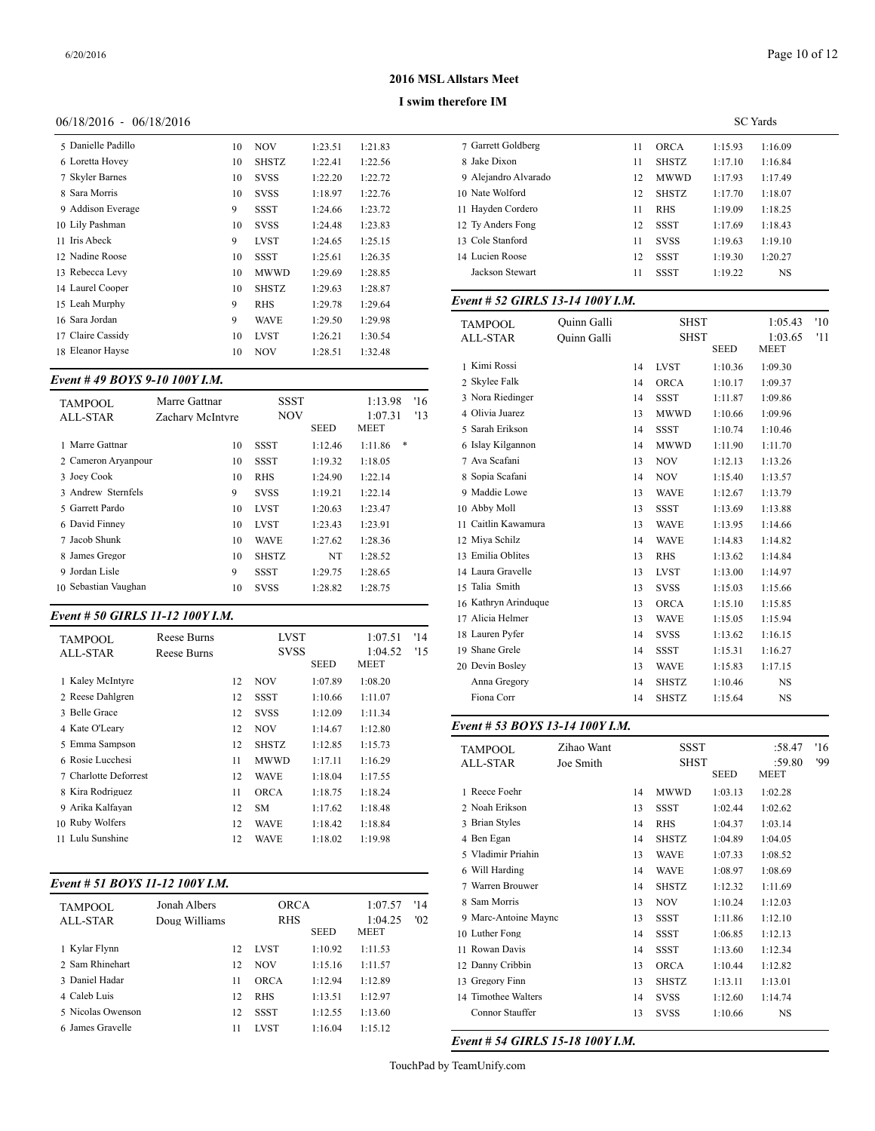#### **I swim therefore IM**

#### 06/18/2016 - 06/18/2016

| 5 Danielle Padillo | 10 | NOV          | 1:23.51 | 1:21.83 | 7 Gar      |
|--------------------|----|--------------|---------|---------|------------|
| 6 Loretta Hovey    | 10 | <b>SHSTZ</b> | 1:22.41 | 1:22.56 | 8 Jak      |
| 7 Skyler Barnes    | 10 | <b>SVSS</b>  | 1:22.20 | 1:22.72 | 9 Ale      |
| 8 Sara Morris      | 10 | <b>SVSS</b>  | 1:18.97 | 1:22.76 | 10 Nat     |
| 9 Addison Everage  | 9  | SSST         | 1:24.66 | 1:23.72 | 11 Hay     |
| 10 Lily Pashman    | 10 | <b>SVSS</b>  | 1:24.48 | 1:23.83 | $12$ Ty    |
| 11 Iris Abeck      | 9  | <b>LVST</b>  | 1:24.65 | 1:25.15 | 13 Col     |
| 12 Nadine Roose    | 10 | <b>SSST</b>  | 1:25.61 | 1:26.35 | 14 Luc     |
| 13 Rebecca Levy    | 10 | <b>MWWD</b>  | 1:29.69 | 1:28.85 | Jacl       |
| 14 Laurel Cooper   | 10 | <b>SHSTZ</b> | 1:29.63 | 1:28.87 |            |
| 15 Leah Murphy     | 9  | <b>RHS</b>   | 1:29.78 | 1:29.64 | Event      |
| 16 Sara Jordan     | 9  | <b>WAVE</b>  | 1:29.50 | 1:29.98 | <b>TAM</b> |
| 17 Claire Cassidy  | 10 | <b>LVST</b>  | 1:26.21 | 1:30.54 | ALL-       |
| 18 Eleanor Hayse   | 10 | <b>NOV</b>   | 1:28.51 | 1:32.48 |            |
|                    |    |              |         |         |            |

# *Event # 49 BOYS 9-10 100Y I.M.*

| TAMPOOL              | Marre Gattnar    | SSST         |             | 1:13.98      | '16 | 3 Nora Riedinger  |
|----------------------|------------------|--------------|-------------|--------------|-----|-------------------|
| <b>ALL-STAR</b>      | Zachary McIntyre | <b>NOV</b>   |             | 1:07.31      | '13 | 4 Olivia Juarez   |
|                      |                  |              | <b>SEED</b> | <b>MEET</b>  |     | 5 Sarah Erikson   |
| 1 Marre Gattnar      | 10               | <b>SSST</b>  | 1:12.46     | *<br>1:11.86 |     | 6 Islay Kilgannon |
| 2 Cameron Arvanpour  | 10               | <b>SSST</b>  | 1:19.32     | 1:18.05      |     | 7 Ava Scafani     |
| 3 Joey Cook          | 10               | <b>RHS</b>   | 1:24.90     | 1:22.14      |     | 8 Sopia Scafani   |
| 3 Andrew Sternfels   | 9                | <b>SVSS</b>  | 1:19.21     | 1:22.14      |     | 9 Maddie Lowe     |
| 5 Garrett Pardo      | 10               | <b>LVST</b>  | 1:20.63     | 1:23.47      |     | 10 Abby Moll      |
| 6 David Finney       | 10               | <b>LVST</b>  | 1:23.43     | 1:23.91      |     | 11 Caitlin Kawamu |
| 7 Jacob Shunk        | 10               | <b>WAVE</b>  | 1:27.62     | 1:28.36      |     | 12 Miya Schilz    |
| 8 James Gregor       | 10               | <b>SHSTZ</b> | NT          | 1:28.52      |     | 13 Emilia Oblites |
| 9 Jordan Lisle       | 9                | <b>SSST</b>  | 1:29.75     | 1:28.65      |     | 14 Laura Gravelle |
| 10 Sebastian Vaughan | 10               | <b>SVSS</b>  | 1:28.82     | 1:28.75      |     | 15 Talia Smith    |
|                      |                  |              |             |              |     |                   |

# *Event # 50 GIRLS 11-12 100Y I.M.*

| <b>TAMPOOL</b><br><b>ALL-STAR</b> | <b>Reese Burns</b><br>Reese Burns | <b>LVST</b><br><b>SVSS</b> |              |             | 1:07.51<br>1:04.52 | '14<br>'15 | 18 Lauren Pyfer<br>19 Shane Grele |
|-----------------------------------|-----------------------------------|----------------------------|--------------|-------------|--------------------|------------|-----------------------------------|
|                                   |                                   |                            |              | <b>SEED</b> | MEET               |            | 20 Devin Bosley                   |
| 1 Kalev McIntyre                  |                                   | 12                         | <b>NOV</b>   | 1:07.89     | 1:08.20            |            | Anna Gregory                      |
| 2 Reese Dahlgren                  |                                   | 12                         | <b>SSST</b>  | 1:10.66     | 1:11.07            |            | Fiona Corr                        |
| 3 Belle Grace                     |                                   | 12                         | <b>SVSS</b>  | 1:12.09     | 1:11.34            |            |                                   |
| 4 Kate O'Leary                    |                                   | 12                         | <b>NOV</b>   | 1:14.67     | 1:12.80            |            | Event # 53 BOY                    |
| 5 Emma Sampson                    |                                   | 12                         | <b>SHSTZ</b> | 1:12.85     | 1:15.73            |            | <b>TAMPOOL</b>                    |
| 6 Rosie Lucchesi                  |                                   | 11                         | <b>MWWD</b>  | 1:17.11     | 1:16.29            |            | <b>ALL-STAR</b>                   |
| 7 Charlotte Deforrest             |                                   | 12                         | <b>WAVE</b>  | 1:18.04     | 1:17.55            |            |                                   |
| 8 Kira Rodriguez                  |                                   | 11                         | <b>ORCA</b>  | 1:18.75     | 1:18.24            |            | 1 Reece Foehr                     |
| 9 Arika Kalfavan                  |                                   | 12                         | <b>SM</b>    | 1:17.62     | 1:18.48            |            | 2 Noah Erikson                    |
| 10 Ruby Wolfers                   |                                   | 12                         | <b>WAVE</b>  | 1:18.42     | 1:18.84            |            | 3 Brian Styles                    |
| 11 Lulu Sunshine                  |                                   | 12                         | <b>WAVE</b>  | 1:18.02     | 1:19.98            |            | 4 Ben Egan                        |
|                                   |                                   |                            |              |             |                    |            |                                   |

# *Event # 51 BOYS 11-12 100Y I.M.*

| <b>TAMPOOL</b>    | Jonah Albers  |    | <b>ORCA</b> |             | 1:07.57 | '14 | 8 Sam Morris       |  |
|-------------------|---------------|----|-------------|-------------|---------|-----|--------------------|--|
| ALL-STAR          | Doug Williams |    | <b>RHS</b>  |             | 1:04.25 | '02 | 9 Marc-Antoine M   |  |
|                   |               |    |             | <b>SEED</b> | MEET    |     | 10 Luther Fong     |  |
| 1 Kylar Flynn     |               | 12 | <b>LVST</b> | 1:10.92     | 1:11.53 |     | 11 Rowan Davis     |  |
| 2. Sam Rhinehart  |               | 12 | <b>NOV</b>  | 1:15.16     | 1:11.57 |     | 12 Danny Cribbin   |  |
| 3 Daniel Hadar    |               | 11 | <b>ORCA</b> | 1:12.94     | 1:12.89 |     | 13 Gregory Finn    |  |
| 4 Caleb Luis      |               | 12 | <b>RHS</b>  | 1:13.51     | 1:12.97 |     | 14 Timothee Walter |  |
| 5 Nicolas Owenson |               | 12 | <b>SSST</b> | 1:12.55     | 1:13.60 |     | Connor Stauffer    |  |
| 6 James Gravelle  |               |    | <b>LVST</b> | 1:16.04     | 1:15.12 |     |                    |  |
|                   |               |    |             |             |         |     |                    |  |

|                      | <b>SC</b> Yards |              |         |         |  |  |  |  |
|----------------------|-----------------|--------------|---------|---------|--|--|--|--|
| 7 Garrett Goldberg   | 11              | ORCA         | 1:15.93 | 1:16.09 |  |  |  |  |
| 8 Jake Dixon         | 11              | <b>SHSTZ</b> | 1:17.10 | 1:16.84 |  |  |  |  |
| 9 Alejandro Alvarado | 12              | <b>MWWD</b>  | 1:17.93 | 1:17.49 |  |  |  |  |
| 10 Nate Wolford      | 12              | <b>SHSTZ</b> | 1:17.70 | 1:18.07 |  |  |  |  |
| 11 Havden Cordero    | 11              | <b>RHS</b>   | 1:19.09 | 1:18.25 |  |  |  |  |
| 12 Ty Anders Fong    | 12              | SSST         | 1:17.69 | 1:18.43 |  |  |  |  |
| 13 Cole Stanford     | 11              | <b>SVSS</b>  | 1:19.63 | 1:19.10 |  |  |  |  |
| 14 Lucien Roose      | 12              | <b>SSST</b>  | 1:19.30 | 1:20.27 |  |  |  |  |
| Jackson Stewart      | 11              | <b>SSST</b>  | 1:19.22 | NS      |  |  |  |  |

# *Event # 52 GIRLS 13-14 100Y I.M.*

| <b>TAMPOOL</b>       | Quinn Galli        |    | <b>SHST</b>  |             | 1:05.43     | '10 |
|----------------------|--------------------|----|--------------|-------------|-------------|-----|
| <b>ALL-STAR</b>      | <b>Ouinn Galli</b> |    | <b>SHST</b>  |             | 1:03.65     | '11 |
|                      |                    |    |              | <b>SEED</b> | <b>MEET</b> |     |
| 1 Kimi Rossi         |                    | 14 | <b>LVST</b>  | 1:10.36     | 1:09.30     |     |
| 2 Skylee Falk        |                    | 14 | <b>ORCA</b>  | 1:10.17     | 1:09.37     |     |
| 3 Nora Riedinger     |                    | 14 | <b>SSST</b>  | 1:11.87     | 1:09.86     |     |
| 4 Olivia Juarez      |                    | 13 | <b>MWWD</b>  | 1:10.66     | 1:09.96     |     |
| 5 Sarah Erikson      |                    | 14 | <b>SSST</b>  | 1:10.74     | 1:10.46     |     |
| 6 Islay Kilgannon    |                    | 14 | <b>MWWD</b>  | 1:11.90     | 1:11.70     |     |
| 7 Ava Scafani        |                    | 13 | <b>NOV</b>   | 1:12.13     | 1:13.26     |     |
| 8 Sopia Scafani      |                    | 14 | <b>NOV</b>   | 1:15.40     | 1:13.57     |     |
| 9 Maddie Lowe        |                    | 13 | <b>WAVE</b>  | 1:12.67     | 1:13.79     |     |
| 10 Abby Moll         |                    | 13 | <b>SSST</b>  | 1:13.69     | 1:13.88     |     |
| 11 Caitlin Kawamura  |                    | 13 | <b>WAVE</b>  | 1:13.95     | 1:14.66     |     |
| 12 Miya Schilz       |                    | 14 | <b>WAVE</b>  | 1:14.83     | 1:14.82     |     |
| 13 Emilia Oblites    |                    | 13 | <b>RHS</b>   | 1:13.62     | 1:14.84     |     |
| 14 Laura Gravelle    |                    | 13 | <b>LVST</b>  | 1:13.00     | 1:14.97     |     |
| 15 Talia Smith       |                    | 13 | <b>SVSS</b>  | 1:15.03     | 1:15.66     |     |
| 16 Kathryn Arinduque |                    | 13 | <b>ORCA</b>  | 1:15.10     | 1:15.85     |     |
| 17 Alicia Helmer     |                    | 13 | <b>WAVE</b>  | 1:15.05     | 1:15.94     |     |
| 18 Lauren Pyfer      |                    | 14 | <b>SVSS</b>  | 1:13.62     | 1:16.15     |     |
| 19 Shane Grele       |                    | 14 | <b>SSST</b>  | 1:15.31     | 1:16.27     |     |
| 20 Devin Bosley      |                    | 13 | <b>WAVE</b>  | 1:15.83     | 1:17.15     |     |
| Anna Gregory         |                    | 14 | <b>SHSTZ</b> | 1:10.46     | <b>NS</b>   |     |
| Fiona Corr           |                    | 14 | <b>SHSTZ</b> | 1:15.64     | $_{\rm NS}$ |     |

# *Event # 53 BOYS 13-14 100Y I.M.*

| <b>TAMPOOL</b><br>ALL-STAR | Zihao Want<br>Joe Smith |    | <b>SSST</b><br><b>SHST</b> | :58.47<br>:59.80<br>MEET | '16<br>'99 |  |
|----------------------------|-------------------------|----|----------------------------|--------------------------|------------|--|
| 1 Reece Foehr              |                         | 14 | <b>MWWD</b>                | 1:03.13                  | 1:02.28    |  |
| 2 Noah Erikson             |                         | 13 | <b>SSST</b>                | 1:02.44                  | 1:02.62    |  |
| 3 Brian Styles             |                         | 14 | <b>RHS</b>                 | 1:04.37                  | 1:03.14    |  |
| 4 Ben Egan                 |                         | 14 | <b>SHSTZ</b>               | 1:04.89                  | 1:04.05    |  |
| 5 Vladimir Priahin         |                         | 13 | <b>WAVE</b>                | 1:07.33                  | 1:08.52    |  |
| 6 Will Harding             |                         | 14 | <b>WAVE</b>                | 1:08.97                  | 1:08.69    |  |
| 7 Warren Brouwer           |                         | 14 | <b>SHSTZ</b>               | 1:12.32                  | 1:11.69    |  |
| 8 Sam Morris               |                         | 13 | <b>NOV</b>                 | 1:10.24                  | 1:12.03    |  |
| 9 Marc-Antoine Maync       |                         | 13 | <b>SSST</b>                | 1:11.86                  | 1:12.10    |  |
| 10 Luther Fong             |                         | 14 | <b>SSST</b>                | 1:06.85                  | 1:12.13    |  |
| 11 Rowan Davis             |                         | 14 | SSST                       | 1:13.60                  | 1:12.34    |  |
| 12 Danny Cribbin           |                         | 13 | <b>ORCA</b>                | 1:10.44                  | 1:12.82    |  |
| 13 Gregory Finn            |                         | 13 | <b>SHSTZ</b>               | 1:13.11                  | 1:13.01    |  |
| 14 Timothee Walters        |                         | 14 | <b>SVSS</b>                | 1:12.60                  | 1:14.74    |  |
| Connor Stauffer            |                         | 13 | <b>SVSS</b>                | 1:10.66                  | NS         |  |

*Event # 54 GIRLS 15-18 100Y I.M.*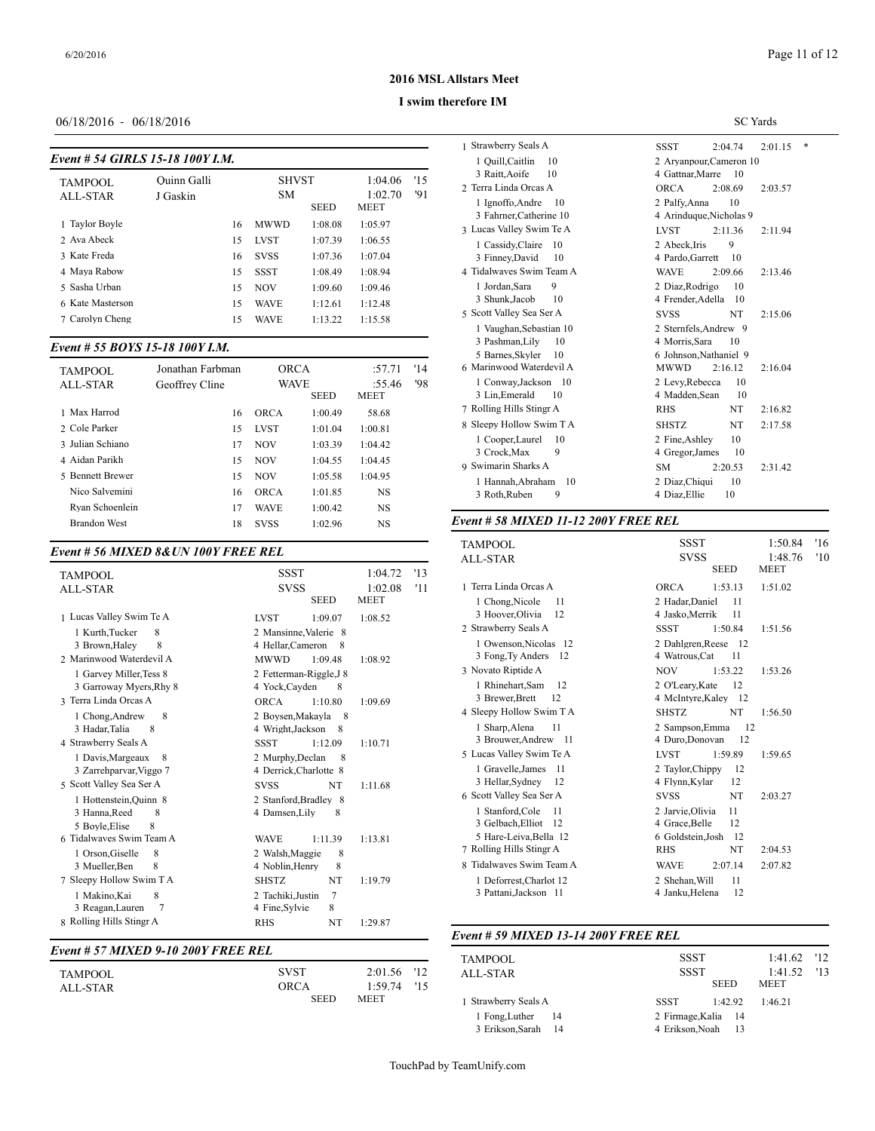SC Yards

# **2016 MSL Allstars Meet**

#### **I swim therefore IM**

# 06/18/2016 - 06/18/2016

| Event # 54 GIRLS 15-18 100Y I.M. |  |  |
|----------------------------------|--|--|
|                                  |  |  |

| <b>TAMPOOL</b>   | Ouinn Galli |    | <b>SHVST</b> |             | 1:04.06         | '15 | 3 Raitt, Aoife<br>2 Terra Linda Orc |
|------------------|-------------|----|--------------|-------------|-----------------|-----|-------------------------------------|
| ALL-STAR         | J Gaskin    |    | <b>SM</b>    | <b>SEED</b> | 1:02.70<br>MEET | '91 | 1 Ignoffo, Andr<br>3 Fahrner, Cath  |
| 1 Taylor Boyle   |             | 16 | <b>MWWD</b>  | 1:08.08     | 1:05.97         |     | 3 Lucas Valley Sw                   |
| 2 Ava Abeck      |             | 15 | <b>LVST</b>  | 1:07.39     | 1:06.55         |     | 1 Cassidy, Clair                    |
| 3 Kate Freda     |             | 16 | <b>SVSS</b>  | 1:07.36     | 1:07.04         |     | 3 Finney, David                     |
| 4 Maya Rabow     |             | 15 | <b>SSST</b>  | 1:08.49     | 1:08.94         |     | 4 Tidalwaves Swi                    |
| 5 Sasha Urban    |             | 15 | <b>NOV</b>   | 1:09.60     | 1:09.46         |     | 1 Jordan.Sara                       |
| 6 Kate Masterson |             | 15 | <b>WAVE</b>  | 1:12.61     | 1:12.48         |     | 3 Shunk, Jacob                      |
| 7 Carolyn Cheng  |             | 15 | <b>WAVE</b>  | 1:13.22     | 1:15.58         |     | 5 Scott Valley Sea                  |
|                  |             |    |              |             |                 |     | 1 Vaughan Seh                       |

# *Event # 55 BOYS 15-18 100Y I.M.*

| TAMPOOL             | Jonathan Farbman | <b>ORCA</b> |             | :57.71      | '14 | ---------------<br>6 Marinwood Waterdevil A | <b>MWWD</b><br>2:16.12<br>2:16.04                        |
|---------------------|------------------|-------------|-------------|-------------|-----|---------------------------------------------|----------------------------------------------------------|
| ALL-STAR            | Geoffrey Cline   | <b>WAVE</b> |             | :55.46      | '98 | 1 Conway, Jackson 10                        | 2 Levy.Rebecca<br>10                                     |
|                     |                  |             | <b>SEED</b> | <b>MEET</b> |     | 10<br>3 Lin.Emerald                         | 4 Madden, Sean<br>10                                     |
| 1 Max Harrod        | 16               | <b>ORCA</b> | 1:00.49     | 58.68       |     | 7 Rolling Hills Stingr A                    | NT<br><b>RHS</b><br>2:16.82                              |
| 2 Cole Parker       | 15               | <b>LVST</b> | 1:01.04     | 1:00.81     |     | 8 Sleepy Hollow Swim T A                    | <b>SHSTZ</b><br>2:17.58<br>NT                            |
| 3 Julian Schiano    |                  | <b>NOV</b>  | 1:03.39     | 1:04.42     |     | 1 Cooper.Laurel 10                          | 10<br>2 Fine Ashley                                      |
| 4 Aidan Parikh      | 15               | <b>NOV</b>  | 1:04.55     | 1:04.45     |     | 3 Crock.Max<br>9<br>9 Swimarin Sharks A     | 4 Gregor, James<br>10<br>2:20.53<br><b>SM</b><br>2:31.42 |
| 5 Bennett Brewer    | 15               | <b>NOV</b>  | 1:05.58     | 1:04.95     |     | Hannah.Abraham 10                           | -10<br>2 Diaz.Chiqui                                     |
| Nico Salvemini      | 16               | <b>ORCA</b> | 1:01.85     | <b>NS</b>   |     | 3 Roth.Ruben<br>9                           | 4 Diaz.Ellie<br>10                                       |
| Rvan Schoenlein     |                  | <b>WAVE</b> | 1:00.42     | NS          |     |                                             |                                                          |
| <b>Brandon West</b> | 18               | <b>SVSS</b> | 1:02.96     | <b>NS</b>   |     | Event # 58 MIXED 11-12 200Y FREE REL        |                                                          |

# *Event # 56 MIXED 8&UN 100Y FREE REL*

| <b>TAMPOOL</b>                                                                                                                                                                                                                                                                                                                                                                                                   | <b>SSST</b>                                                                                                                                                                                                                                                                                                                                                                                        | 1:04.72<br>'13                                      |                                                                                                                                                                                                                                                                                                                                           |
|------------------------------------------------------------------------------------------------------------------------------------------------------------------------------------------------------------------------------------------------------------------------------------------------------------------------------------------------------------------------------------------------------------------|----------------------------------------------------------------------------------------------------------------------------------------------------------------------------------------------------------------------------------------------------------------------------------------------------------------------------------------------------------------------------------------------------|-----------------------------------------------------|-------------------------------------------------------------------------------------------------------------------------------------------------------------------------------------------------------------------------------------------------------------------------------------------------------------------------------------------|
| <b>ALL-STAR</b>                                                                                                                                                                                                                                                                                                                                                                                                  | <b>SVSS</b>                                                                                                                                                                                                                                                                                                                                                                                        | 1:02.08<br>'11                                      | 1 Terra Linda Orc                                                                                                                                                                                                                                                                                                                         |
|                                                                                                                                                                                                                                                                                                                                                                                                                  | <b>SEED</b>                                                                                                                                                                                                                                                                                                                                                                                        | <b>MEET</b>                                         | 1 Chong, Nicol                                                                                                                                                                                                                                                                                                                            |
| 1 Lucas Valley Swim Te A                                                                                                                                                                                                                                                                                                                                                                                         | <b>LVST</b><br>1:09.07                                                                                                                                                                                                                                                                                                                                                                             | 1:08.52                                             | 3 Hoover, Olivi                                                                                                                                                                                                                                                                                                                           |
| 1 Kurth, Tucker<br>8<br>8<br>3 Brown, Haley<br>2 Marinwood Waterdevil A<br>1 Garvey Miller, Tess 8<br>3 Garroway Myers, Rhy 8<br>3 Terra Linda Orcas A<br>8<br>1 Chong, Andrew<br>8<br>3 Hadar, Talia<br>4 Strawberry Seals A<br>1 Davis, Margeaux<br>8<br>3 Zarrehparvar, Viggo 7<br>5 Scott Valley Sea Ser A<br>1 Hottenstein, Quinn 8<br>3 Hanna, Reed<br>8<br>5 Boyle.Elise<br>8<br>6 Tidalwaves Swim Team A | 2 Mansinne, Valerie 8<br>4 Hellar, Cameron<br>8<br><b>MWWD</b><br>1:09.48<br>2 Fetterman-Riggle.J 8<br>4 Yock, Cayden<br>8<br><b>ORCA</b><br>1:10.80<br>2 Boysen, Makayla<br>- 8<br>4 Wright, Jackson<br>8<br><b>SSST</b><br>1:12.09<br>2 Murphy, Declan<br>8<br>4 Derrick, Charlotte 8<br><b>NT</b><br><b>SVSS</b><br>2 Stanford, Bradley 8<br>4 Damsen, Lily<br>8<br><b>WAVE</b><br>1:11.39<br>8 | 1:08.92<br>1:09.69<br>1:10.71<br>1:11.68<br>1:13.81 | 2 Strawberry Seal<br>1 Owenson, Nio<br>3 Fong, Ty And<br>3 Novato Riptide.<br>1 Rhinehart, Sa<br>3 Brewer, Brett<br>4 Sleepy Hollow S<br>1 Sharp, Alena<br>3 Brouwer, And<br>5 Lucas Valley Sw<br>1 Gravelle.Jam<br>3 Hellar, Sydne<br>6 Scott Valley Sea<br>1 Stanford.Col<br>3 Gelbach, Ellio<br>5 Hare-Leiva, E<br>7 Rolling Hills Sti |
| 1 Orson, Giselle<br>8<br>3 Mueller.Ben<br>8                                                                                                                                                                                                                                                                                                                                                                      | 2 Walsh, Maggie<br>4 Noblin, Henry<br>8                                                                                                                                                                                                                                                                                                                                                            |                                                     | 8 Tidalwaves Swi                                                                                                                                                                                                                                                                                                                          |
| 7 Sleepy Hollow Swim T A<br>8<br>1 Makino, Kai<br>3 Reagan, Lauren<br>$\overline{7}$<br>8 Rolling Hills Stingr A                                                                                                                                                                                                                                                                                                 | <b>SHSTZ</b><br>NT<br>7<br>2 Tachiki, Justin<br>4 Fine Sylvie<br>8<br>NT<br><b>RHS</b>                                                                                                                                                                                                                                                                                                             | 1:19.79<br>1:29.87                                  | 1 Deforrest, Ch<br>3 Pattani, Jacks                                                                                                                                                                                                                                                                                                       |
|                                                                                                                                                                                                                                                                                                                                                                                                                  |                                                                                                                                                                                                                                                                                                                                                                                                    |                                                     | Event # 59 $MIX$                                                                                                                                                                                                                                                                                                                          |
| Event # 57 MIXED 9-10 200Y FREE REL                                                                                                                                                                                                                                                                                                                                                                              |                                                                                                                                                                                                                                                                                                                                                                                                    |                                                     | TAMBOOL                                                                                                                                                                                                                                                                                                                                   |

|          |             |               | TAMPOOL            |
|----------|-------------|---------------|--------------------|
| TAMPOOL  | <b>SVST</b> | 2:01.56 '12   | ALL-STAR           |
| ALL-STAR | ORCA        | $1:59.74$ '15 |                    |
|          | <b>SEED</b> | <b>MEET</b>   | l Strawberry Seal: |

| 1 Strawberry Seals A                               | *<br><b>SSST</b><br>2:04.74<br>2:01.15                      |  |  |  |
|----------------------------------------------------|-------------------------------------------------------------|--|--|--|
| 1 Quill, Caitlin<br>10<br>10<br>3 Raitt, Aoife     | 2 Aryanpour, Cameron 10<br>4 Gattnar, Marre<br>- 10         |  |  |  |
| 2 Terra Linda Orcas A                              | <b>ORCA</b><br>2:08.69<br>2:03.57                           |  |  |  |
| 1 Ignoffo, Andre<br>-10<br>3 Fahrner, Catherine 10 | 2 Palfv.Anna<br>10<br>4 Arinduque, Nicholas 9               |  |  |  |
| 3 Lucas Valley Swim Te A                           | <b>LVST</b><br>2:11.36<br>2:11.94                           |  |  |  |
| 1 Cassidy, Claire<br>10<br>3 Finney, David<br>10   | 2 Abeck.Iris<br>9<br>4 Pardo, Garrett<br>10                 |  |  |  |
| 4 Tidalwaves Swim Team A                           | <b>WAVE</b><br>2:09.66<br>2:13.46                           |  |  |  |
| 1 Jordan, Sara<br>9<br>3 Shunk, Jacob<br>10        | 2 Diaz, Rodrigo<br>10<br>4 Frender, Adella<br>-10           |  |  |  |
| 5 Scott Valley Sea Ser A                           | <b>SVSS</b><br>NT<br>2:15.06                                |  |  |  |
| 1 Vaughan, Sebastian 10<br>3 Pashman, Lily<br>10   | 2 Sternfels, Andrew 9<br>4 Morris, Sara<br>10               |  |  |  |
| 5 Barnes, Skyler<br>10<br>6 Marinwood Waterdevil A | 6 Johnson, Nathaniel 9<br><b>MWWD</b><br>2:16.12<br>2:16.04 |  |  |  |
| 1 Conway, Jackson 10<br>3 Lin, Emerald<br>10       | 2 Levy, Rebecca<br>10<br>4 Madden.Sean<br>10                |  |  |  |
| 7 Rolling Hills Stingr A                           | <b>RHS</b><br>NT<br>2:16.82                                 |  |  |  |
| 8 Sleepy Hollow Swim T A                           | NT<br><b>SHSTZ</b><br>2:17.58                               |  |  |  |
| 1 Cooper, Laurel<br>10<br>3 Crock, Max<br>9        | 2 Fine.Ashlev<br>10<br>4 Gregor, James<br>10                |  |  |  |
| 9 Swimarin Sharks A                                | <b>SM</b><br>2:20.53<br>2:31.42                             |  |  |  |
| 1 Hannah, Abraham<br>10<br>3 Roth, Ruben<br>9      | 10<br>2 Diaz, Chiqui<br>4 Diaz, Ellie<br>10                 |  |  |  |

| TAMPOOL<br>ALL-STAR      | <b>SSST</b><br><b>SVSS</b><br><b>SEED</b> | 1:50.84<br>1:48.76<br><b>MEET</b> | '16<br>'10 |
|--------------------------|-------------------------------------------|-----------------------------------|------------|
| 1 Terra Linda Orcas A    | <b>ORCA</b><br>1:53.13                    | 1:51.02                           |            |
| 1 Chong, Nicole<br>11    | 2 Hadar, Daniel<br>11                     |                                   |            |
| 3 Hoover, Olivia<br>12   | 11<br>4 Jasko, Merrik                     |                                   |            |
| 2 Strawberry Seals A     | <b>SSST</b><br>1:50.84                    | 1:51.56                           |            |
| 1 Owenson, Nicolas 12    | 2 Dahlgren, Reese 12                      |                                   |            |
| 3 Fong, Ty Anders 12     | 4 Watrous, Cat<br>11                      |                                   |            |
| 3 Novato Riptide A       | 1:53.22<br><b>NOV</b>                     | 1:53.26                           |            |
| 1 Rhinehart, Sam<br>12   | 2 O'Leary, Kate<br>12                     |                                   |            |
| 3 Brewer, Brett<br>12    | 4 McIntyre, Kaley 12                      |                                   |            |
| 4 Sleepy Hollow Swim T A | <b>SHSTZ</b><br>NT                        | 1:56.50                           |            |
| 11<br>1 Sharp, Alena     | 2 Sampson, Emma<br>12                     |                                   |            |
| 3 Brouwer, Andrew 11     | 12<br>4 Duro, Donovan                     |                                   |            |
| 5 Lucas Valley Swim Te A | <b>LVST</b><br>1:59.89                    | 1:59.65                           |            |
| 1 Gravelle, James<br>11  | 2 Taylor, Chippy<br>12                    |                                   |            |
| 3 Hellar, Sydney<br>12   | 12<br>4 Flynn, Kylar                      |                                   |            |
| 6 Scott Valley Sea Ser A | NT<br><b>SVSS</b>                         | 2:03.27                           |            |
| 1 Stanford, Cole<br>11   | 2 Jarvie, Olivia<br>11                    |                                   |            |
| 3 Gelbach, Elliot 12     | 12<br>4 Grace, Belle                      |                                   |            |
| 5 Hare-Leiva, Bella 12   | 6 Goldstein, Josh<br>-12                  |                                   |            |
| 7 Rolling Hills Stingr A | NT<br><b>RHS</b>                          | 2:04.53                           |            |
| 8 Tidalwayes Swim Team A | 2:07.14<br><b>WAVE</b>                    | 2:07.82                           |            |
| 1 Deforrest, Charlot 12  | 11<br>2 Shehan, Will                      |                                   |            |
| 3 Pattani, Jackson 11    | 12<br>4 Janku, Helena                     |                                   |            |

# *Event # 59 MIXED 13-14 200Y FREE REL*

| TAMPOOL<br>ALL-STAR                     | <b>SSST</b><br><b>SSST</b> | <b>SEED</b>                | $1:41.62$ '12<br>1:41.52<br><b>MEET</b> | 13 |
|-----------------------------------------|----------------------------|----------------------------|-----------------------------------------|----|
| 1 Strawberry Seals A                    | <b>SSST</b>                | 1:42.92                    | 1:46.21                                 |    |
| 1 Fong, Luther 14<br>3 Erikson.Sarah 14 | 4 Erikson.Noah             | 2 Firmage.Kalia 14<br>- 13 |                                         |    |